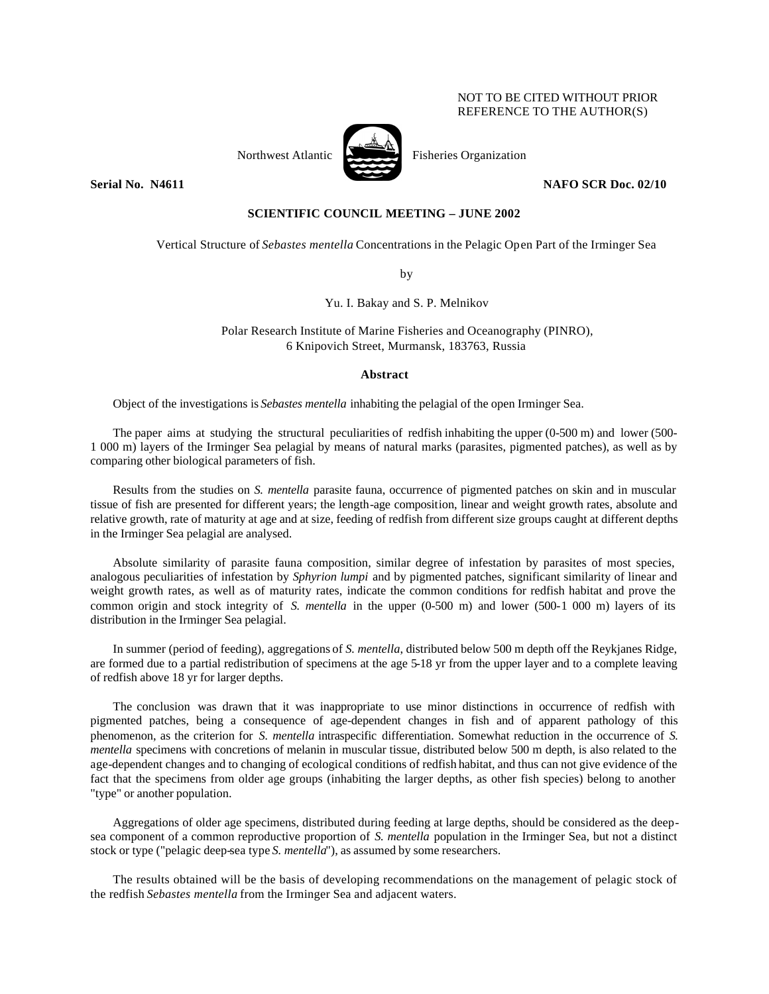## NOT TO BE CITED WITHOUT PRIOR REFERENCE TO THE AUTHOR(S)



Northwest Atlantic Fisheries Organization

**Serial No. 14611 NAFO SCR Doc. 02/10** 

# **SCIENTIFIC COUNCIL MEETING – JUNE 2002**

Vertical Structure of *Sebastes mentella* Concentrations in the Pelagic Open Part of the Irminger Sea

by

Yu. I. Bakay and S. P. Melnikov

Polar Research Institute of Marine Fisheries and Oceanography (PINRO), 6 Knipovich Street, Murmansk, 183763, Russia

#### **Abstract**

Object of the investigations is *Sebastes mentella* inhabiting the pelagial of the open Irminger Sea.

The paper aims at studying the structural peculiarities of redfish inhabiting the upper (0-500 m) and lower (500- 1 000 m) layers of the Irminger Sea pelagial by means of natural marks (parasites, pigmented patches), as well as by comparing other biological parameters of fish.

Results from the studies on *S. mentella* parasite fauna, occurrence of pigmented patches on skin and in muscular tissue of fish are presented for different years; the length-age composition, linear and weight growth rates, absolute and relative growth, rate of maturity at age and at size, feeding of redfish from different size groups caught at different depths in the Irminger Sea pelagial are analysed.

Absolute similarity of parasite fauna composition, similar degree of infestation by parasites of most species, analogous peculiarities of infestation by *Sphyrion lumpi* and by pigmented patches, significant similarity of linear and weight growth rates, as well as of maturity rates, indicate the common conditions for redfish habitat and prove the common origin and stock integrity of *S. mentella* in the upper (0-500 m) and lower (500-1 000 m) layers of its distribution in the Irminger Sea pelagial.

In summer (period of feeding), aggregations of *S. mentella*, distributed below 500 m depth off the Reykjanes Ridge, are formed due to a partial redistribution of specimens at the age 5-18 yr from the upper layer and to a complete leaving of redfish above 18 yr for larger depths.

The conclusion was drawn that it was inappropriate to use minor distinctions in occurrence of redfish with pigmented patches, being a consequence of age-dependent changes in fish and of apparent pathology of this phenomenon, as the criterion for *S. mentella* intraspecific differentiation. Somewhat reduction in the occurrence of *S. mentella* specimens with concretions of melanin in muscular tissue, distributed below 500 m depth, is also related to the age-dependent changes and to changing of ecological conditions of redfish habitat, and thus can not give evidence of the fact that the specimens from older age groups (inhabiting the larger depths, as other fish species) belong to another "type" or another population.

Aggregations of older age specimens, distributed during feeding at large depths, should be considered as the deepsea component of a common reproductive proportion of *S. mentella* population in the Irminger Sea, but not a distinct stock or type ("pelagic deep-sea type *S. mentella*"), as assumed by some researchers.

The results obtained will be the basis of developing recommendations on the management of pelagic stock of the redfish *Sebastes mentella* from the Irminger Sea and adjacent waters.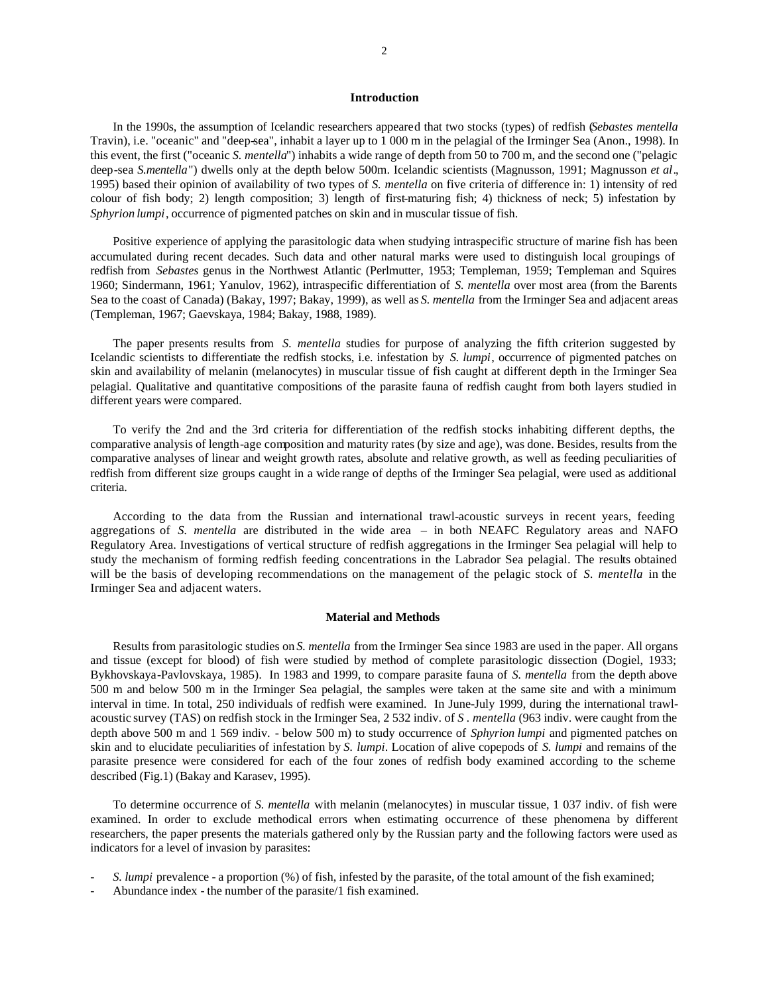### **Introduction**

In the 1990s, the assumption of Icelandic researchers appeared that two stocks (types) of redfish (*Sebastes mentella* Travin), i.e. "oceanic" and "deep-sea", inhabit a layer up to 1 000 m in the pelagial of the Irminger Sea (Anon., 1998). In this event, the first ("oceanic *S. mentella*") inhabits a wide range of depth from 50 to 700 m, and the second one ("pelagic deep-sea *S.mentella*") dwells only at the depth below 500m. Icelandic scientists (Magnusson, 1991; Magnusson *et al*., 1995) based their opinion of availability of two types of *S. mentella* on five criteria of difference in: 1) intensity of red colour of fish body; 2) length composition; 3) length of first-maturing fish; 4) thickness of neck; 5) infestation by *Sphyrion lumpi*, occurrence of pigmented patches on skin and in muscular tissue of fish.

Positive experience of applying the parasitologic data when studying intraspecific structure of marine fish has been accumulated during recent decades. Such data and other natural marks were used to distinguish local groupings of redfish from *Sebastes* genus in the Northwest Atlantic (Perlmutter, 1953; Templeman, 1959; Templeman and Squires 1960; Sindermann, 1961; Yanulov, 1962), intraspecific differentiation of *S. mentella* over most area (from the Barents Sea to the coast of Canada) (Bakay, 1997; Bakay, 1999), as well as *S. mentella* from the Irminger Sea and adjacent areas (Templeman, 1967; Gaevskaya, 1984; Bakay, 1988, 1989).

The paper presents results from *S. mentella* studies for purpose of analyzing the fifth criterion suggested by Icelandic scientists to differentiate the redfish stocks, i.e. infestation by *S. lumpi*, occurrence of pigmented patches on skin and availability of melanin (melanocytes) in muscular tissue of fish caught at different depth in the Irminger Sea pelagial. Qualitative and quantitative compositions of the parasite fauna of redfish caught from both layers studied in different years were compared.

To verify the 2nd and the 3rd criteria for differentiation of the redfish stocks inhabiting different depths, the comparative analysis of length-age composition and maturity rates (by size and age), was done. Besides, results from the comparative analyses of linear and weight growth rates, absolute and relative growth, as well as feeding peculiarities of redfish from different size groups caught in a wide range of depths of the Irminger Sea pelagial, were used as additional criteria.

According to the data from the Russian and international trawl-acoustic surveys in recent years, feeding aggregations of *S. mentella* are distributed in the wide area – in both NEAFC Regulatory areas and NAFO Regulatory Area. Investigations of vertical structure of redfish aggregations in the Irminger Sea pelagial will help to study the mechanism of forming redfish feeding concentrations in the Labrador Sea pelagial. The results obtained will be the basis of developing recommendations on the management of the pelagic stock of *S. mentella* in the Irminger Sea and adjacent waters.

#### **Material and Methods**

Results from parasitologic studies on *S. mentella* from the Irminger Sea since 1983 are used in the paper. All organs and tissue (except for blood) of fish were studied by method of complete parasitologic dissection (Dogiel, 1933; Bykhovskaya-Pavlovskaya, 1985). In 1983 and 1999, to compare parasite fauna of *S. mentella* from the depth above 500 m and below 500 m in the Irminger Sea pelagial, the samples were taken at the same site and with a minimum interval in time. In total, 250 individuals of redfish were examined. In June-July 1999, during the international trawlacoustic survey (TAS) on redfish stock in the Irminger Sea, 2 532 indiv. of *S . mentella* (963 indiv. were caught from the depth above 500 m and 1 569 indiv. - below 500 m) to study occurrence of *Sphyrion lumpi* and pigmented patches on skin and to elucidate peculiarities of infestation by *S. lumpi*. Location of alive copepods of *S. lumpi* and remains of the parasite presence were considered for each of the four zones of redfish body examined according to the scheme described (Fig.1) (Bakay and Karasev, 1995).

To determine occurrence of *S. mentella* with melanin (melanocytes) in muscular tissue, 1 037 indiv. of fish were examined. In order to exclude methodical errors when estimating occurrence of these phenomena by different researchers, the paper presents the materials gathered only by the Russian party and the following factors were used as indicators for a level of invasion by parasites:

- *- S. lumpi* prevalence a proportion (%) of fish, infested by the parasite, of the total amount of the fish examined;
- Abundance index the number of the parasite/1 fish examined.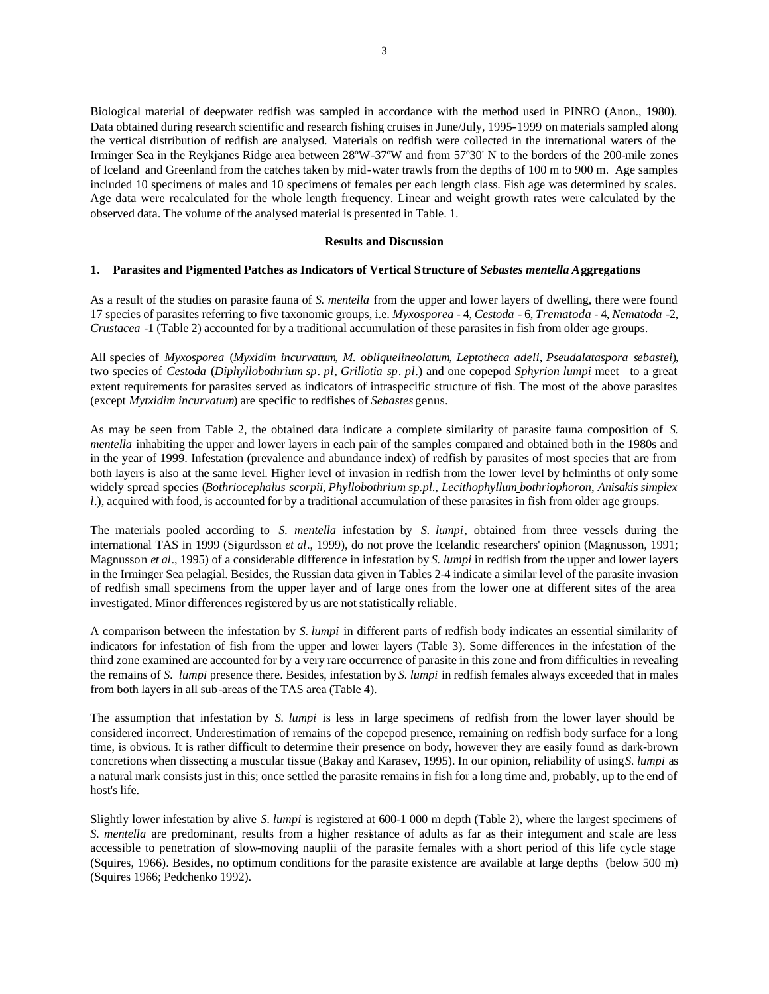Biological material of deepwater redfish was sampled in accordance with the method used in PINRO (Anon., 1980). Data obtained during research scientific and research fishing cruises in June/July, 1995-1999 on materials sampled along the vertical distribution of redfish are analysed. Materials on redfish were collected in the international waters of the Irminger Sea in the Reykjanes Ridge area between 28ºW-37ºW and from 57º30' N to the borders of the 200-mile zones of Iceland and Greenland from the catches taken by mid-water trawls from the depths of 100 m to 900 m. Age samples included 10 specimens of males and 10 specimens of females per each length class. Fish age was determined by scales. Age data were recalculated for the whole length frequency. Linear and weight growth rates were calculated by the observed data. The volume of the analysed material is presented in Table. 1.

#### **Results and Discussion**

## **1. Parasites and Pigmented Patches as Indicators of Vertical Structure of** *Sebastes mentella A***ggregations**

As a result of the studies on parasite fauna of *S. mentella* from the upper and lower layers of dwelling, there were found 17 species of parasites referring to five taxonomic groups, i.e. *Myxosporea* - 4, *Cestoda* - 6, *Trematoda* - 4, *Nematoda* -2, *Crustacea* -1 (Table 2) accounted for by a traditional accumulation of these parasites in fish from older age groups.

All species of *Myxosporea* (*Myxidim incurvatum*, *M. obliquelineolatum*, *Leptotheca adeli*, *Pseudalataspora sebastei*), two species of *Cestoda* (*Diphyllobothrium sp*. *pl*, *Grillotia sp*. *pl*.) and one copepod *Sphyrion lumpi* meet to a great extent requirements for parasites served as indicators of intraspecific structure of fish. The most of the above parasites (except *Mytxidim incurvatum*) are specific to redfishes of *Sebastes* genus.

As may be seen from Table 2, the obtained data indicate a complete similarity of parasite fauna composition of *S. mentella* inhabiting the upper and lower layers in each pair of the samples compared and obtained both in the 1980s and in the year of 1999. Infestation (prevalence and abundance index) of redfish by parasites of most species that are from both layers is also at the same level. Higher level of invasion in redfish from the lower level by helminths of only some widely spread species (*Bothriocephalus scorpii*, *Phyllobothrium sp.pl*., *Lecithophyllum bothriophoron*, *Anisakis simplex l.*), acquired with food, is accounted for by a traditional accumulation of these parasites in fish from older age groups.

The materials pooled according to *S. mentella* infestation by *S. lumpi*, obtained from three vessels during the international TAS in 1999 (Sigurdsson *et al*., 1999), do not prove the Icelandic researchers' opinion (Magnusson, 1991; Magnusson *et al*., 1995) of a considerable difference in infestation by *S. lumpi* in redfish from the upper and lower layers in the Irminger Sea pelagial. Besides, the Russian data given in Tables 2-4 indicate a similar level of the parasite invasion of redfish small specimens from the upper layer and of large ones from the lower one at different sites of the area investigated. Minor differences registered by us are not statistically reliable.

A comparison between the infestation by *S. lumpi* in different parts of redfish body indicates an essential similarity of indicators for infestation of fish from the upper and lower layers (Table 3). Some differences in the infestation of the third zone examined are accounted for by a very rare occurrence of parasite in this zone and from difficulties in revealing the remains of *S. lumpi* presence there. Besides, infestation by *S. lumpi* in redfish females always exceeded that in males from both layers in all sub-areas of the TAS area (Table 4).

The assumption that infestation by *S. lumpi* is less in large specimens of redfish from the lower layer should be considered incorrect. Underestimation of remains of the copepod presence, remaining on redfish body surface for a long time, is obvious. It is rather difficult to determine their presence on body, however they are easily found as dark-brown concretions when dissecting a muscular tissue (Bakay and Karasev, 1995). In our opinion, reliability of using *S. lumpi* as a natural mark consists just in this; once settled the parasite remains in fish for a long time and, probably, up to the end of host's life.

Slightly lower infestation by alive *S. lumpi* is registered at 600-1 000 m depth (Table 2), where the largest specimens of *S. mentella* are predominant, results from a higher resistance of adults as far as their integument and scale are less accessible to penetration of slow-moving nauplii of the parasite females with a short period of this life cycle stage (Squires, 1966). Besides, no optimum conditions for the parasite existence are available at large depths (below 500 m) (Squires 1966; Pedchenko 1992).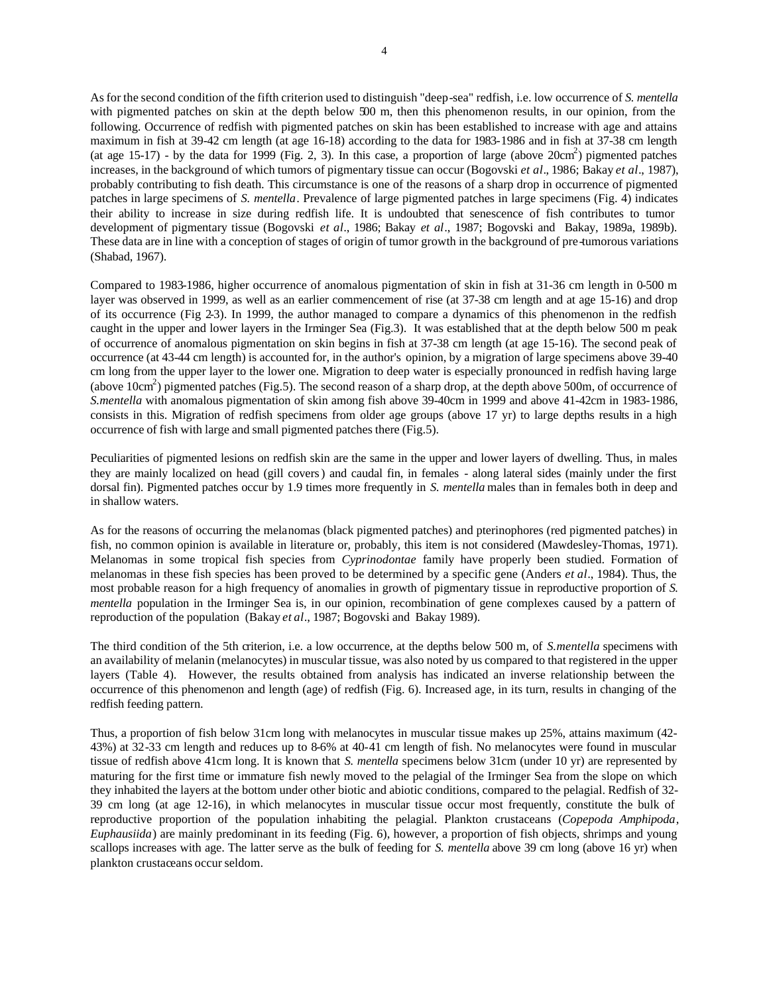As for the second condition of the fifth criterion used to distinguish "deep-sea" redfish, i.e. low occurrence of *S. mentella* with pigmented patches on skin at the depth below 500 m, then this phenomenon results, in our opinion, from the following. Occurrence of redfish with pigmented patches on skin has been established to increase with age and attains maximum in fish at 39-42 cm length (at age 16-18) according to the data for 1983-1986 and in fish at 37-38 cm length (at age  $15-17$ ) - by the data for 1999 (Fig. 2, 3). In this case, a proportion of large (above  $20 \text{cm}^2$ ) pigmented patches increases, in the background of which tumors of pigmentary tissue can occur (Bogovski *et al*., 1986; Bakay *et al*., 1987), probably contributing to fish death. This circumstance is one of the reasons of a sharp drop in occurrence of pigmented patches in large specimens of *S. mentella*. Prevalence of large pigmented patches in large specimens (Fig. 4) indicates their ability to increase in size during redfish life. It is undoubted that senescence of fish contributes to tumor development of pigmentary tissue (Bogovski *et al*., 1986; Bakay *et al*., 1987; Bogovski and Bakay, 1989a, 1989b). These data are in line with a conception of stages of origin of tumor growth in the background of pre-tumorous variations (Shabad, 1967).

Compared to 1983-1986, higher occurrence of anomalous pigmentation of skin in fish at 31-36 cm length in 0-500 m layer was observed in 1999, as well as an earlier commencement of rise (at 37-38 cm length and at age 15-16) and drop of its occurrence (Fig 2-3). In 1999, the author managed to compare a dynamics of this phenomenon in the redfish caught in the upper and lower layers in the Irminger Sea (Fig.3). It was established that at the depth below 500 m peak of occurrence of anomalous pigmentation on skin begins in fish at 37-38 cm length (at age 15-16). The second peak of occurrence (at 43-44 cm length) is accounted for, in the author's opinion, by a migration of large specimens above 39-40 cm long from the upper layer to the lower one. Migration to deep water is especially pronounced in redfish having large (above 10cm<sup>2</sup>) pigmented patches (Fig.5). The second reason of a sharp drop, at the depth above 500m, of occurrence of *S.mentella* with anomalous pigmentation of skin among fish above 39-40cm in 1999 and above 41-42cm in 1983-1986, consists in this. Migration of redfish specimens from older age groups (above 17 yr) to large depths results in a high occurrence of fish with large and small pigmented patches there (Fig.5).

Peculiarities of pigmented lesions on redfish skin are the same in the upper and lower layers of dwelling. Thus, in males they are mainly localized on head (gill covers) and caudal fin, in females - along lateral sides (mainly under the first dorsal fin). Pigmented patches occur by 1.9 times more frequently in *S. mentella* males than in females both in deep and in shallow waters.

As for the reasons of occurring the melanomas (black pigmented patches) and pterinophores (red pigmented patches) in fish, no common opinion is available in literature or, probably, this item is not considered (Mawdesley-Thomas, 1971). Melanomas in some tropical fish species from *Cyprinodontae* family have properly been studied. Formation of melanomas in these fish species has been proved to be determined by a specific gene (Anders *et al*., 1984). Thus, the most probable reason for a high frequency of anomalies in growth of pigmentary tissue in reproductive proportion of *S. mentella* population in the Irminger Sea is, in our opinion, recombination of gene complexes caused by a pattern of reproduction of the population (Bakay *et al*., 1987; Bogovski and Bakay 1989).

The third condition of the 5th criterion, i.e. a low occurrence, at the depths below 500 m, of *S.mentella* specimens with an availability of melanin (melanocytes) in muscular tissue, was also noted by us compared to that registered in the upper layers (Table 4). However, the results obtained from analysis has indicated an inverse relationship between the occurrence of this phenomenon and length (age) of redfish (Fig. 6). Increased age, in its turn, results in changing of the redfish feeding pattern.

Thus, a proportion of fish below 31cm long with melanocytes in muscular tissue makes up 25%, attains maximum (42- 43%) at 32-33 cm length and reduces up to 8-6% at 40-41 cm length of fish. No melanocytes were found in muscular tissue of redfish above 41cm long. It is known that *S. mentella* specimens below 31cm (under 10 yr) are represented by maturing for the first time or immature fish newly moved to the pelagial of the Irminger Sea from the slope on which they inhabited the layers at the bottom under other biotic and abiotic conditions, compared to the pelagial. Redfish of 32- 39 cm long (at age 12-16), in which melanocytes in muscular tissue occur most frequently, constitute the bulk of reproductive proportion of the population inhabiting the pelagial. Plankton crustaceans (*Copepoda Amphipoda*, *Euphausiida*) are mainly predominant in its feeding (Fig. 6), however, a proportion of fish objects, shrimps and young scallops increases with age. The latter serve as the bulk of feeding for *S. mentella* above 39 cm long (above 16 yr) when plankton crustaceans occur seldom.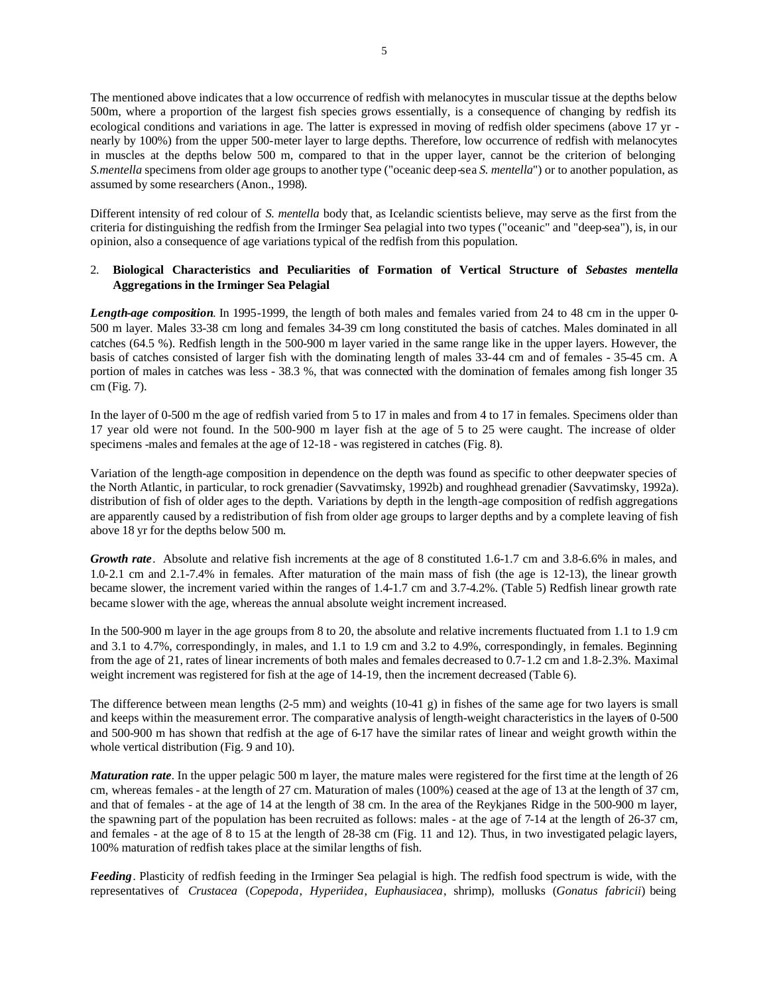The mentioned above indicates that a low occurrence of redfish with melanocytes in muscular tissue at the depths below 500m, where a proportion of the largest fish species grows essentially, is a consequence of changing by redfish its ecological conditions and variations in age. The latter is expressed in moving of redfish older specimens (above 17 yr nearly by 100%) from the upper 500-meter layer to large depths. Therefore, low occurrence of redfish with melanocytes in muscles at the depths below 500 m, compared to that in the upper layer, cannot be the criterion of belonging *S.mentella* specimens from older age groups to another type ("oceanic deep-sea *S. mentella*") or to another population, as assumed by some researchers (Anon., 1998).

Different intensity of red colour of *S. mentella* body that, as Icelandic scientists believe, may serve as the first from the criteria for distinguishing the redfish from the Irminger Sea pelagial into two types ("oceanic" and "deep-sea"), is, in our opinion, also a consequence of age variations typical of the redfish from this population.

# 2. **Biological Characteristics and Peculiarities of Formation of Vertical Structure of** *Sebastes mentella* **Aggregations in the Irminger Sea Pelagial**

*Length-age composition*. In 1995-1999, the length of both males and females varied from 24 to 48 cm in the upper 0- 500 m layer. Males 33-38 cm long and females 34-39 cm long constituted the basis of catches. Males dominated in all catches (64.5 %). Redfish length in the 500-900 m layer varied in the same range like in the upper layers. However, the basis of catches consisted of larger fish with the dominating length of males 33-44 cm and of females - 35-45 cm. A portion of males in catches was less - 38.3 %, that was connected with the domination of females among fish longer 35 cm (Fig. 7).

In the layer of 0-500 m the age of redfish varied from 5 to 17 in males and from 4 to 17 in females. Specimens older than 17 year old were not found. In the 500-900 m layer fish at the age of 5 to 25 were caught. The increase of older specimens -males and females at the age of 12-18 - was registered in catches (Fig. 8).

Variation of the length-age composition in dependence on the depth was found as specific to other deepwater species of the North Atlantic, in particular, to rock grenadier (Savvatimsky, 1992b) and roughhead grenadier (Savvatimsky, 1992a). distribution of fish of older ages to the depth. Variations by depth in the length-age composition of redfish aggregations are apparently caused by a redistribution of fish from older age groups to larger depths and by a complete leaving of fish above 18 yr for the depths below 500 m.

*Growth rate*. Absolute and relative fish increments at the age of 8 constituted 1.6-1.7 cm and 3.8-6.6% in males, and 1.0-2.1 cm and 2.1-7.4% in females. After maturation of the main mass of fish (the age is 12-13), the linear growth became slower, the increment varied within the ranges of 1.4-1.7 cm and 3.7-4.2%. (Table 5) Redfish linear growth rate became slower with the age, whereas the annual absolute weight increment increased.

In the 500-900 m layer in the age groups from 8 to 20, the absolute and relative increments fluctuated from 1.1 to 1.9 cm and 3.1 to 4.7%, correspondingly, in males, and 1.1 to 1.9 cm and 3.2 to 4.9%, correspondingly, in females. Beginning from the age of 21, rates of linear increments of both males and females decreased to 0.7-1.2 cm and 1.8-2.3%. Maximal weight increment was registered for fish at the age of 14-19, then the increment decreased (Table 6).

The difference between mean lengths (2-5 mm) and weights (10-41 g) in fishes of the same age for two layers is small and keeps within the measurement error. The comparative analysis of length-weight characteristics in the layers of 0-500 and 500-900 m has shown that redfish at the age of 6-17 have the similar rates of linear and weight growth within the whole vertical distribution (Fig. 9 and 10).

*Maturation rate*. In the upper pelagic 500 m layer, the mature males were registered for the first time at the length of 26 cm, whereas females - at the length of 27 cm. Maturation of males (100%) ceased at the age of 13 at the length of 37 cm, and that of females - at the age of 14 at the length of 38 cm. In the area of the Reykjanes Ridge in the 500-900 m layer, the spawning part of the population has been recruited as follows: males - at the age of 7-14 at the length of 26-37 cm, and females - at the age of 8 to 15 at the length of 28-38 cm (Fig. 11 and 12). Thus, in two investigated pelagic layers, 100% maturation of redfish takes place at the similar lengths of fish.

*Feeding*. Plasticity of redfish feeding in the Irminger Sea pelagial is high. The redfish food spectrum is wide, with the representatives of *Crustacea* (*Copepoda*, *Hyperiidea*, *Euphausiacea*, shrimp), mollusks (*Gonatus fabricii*) being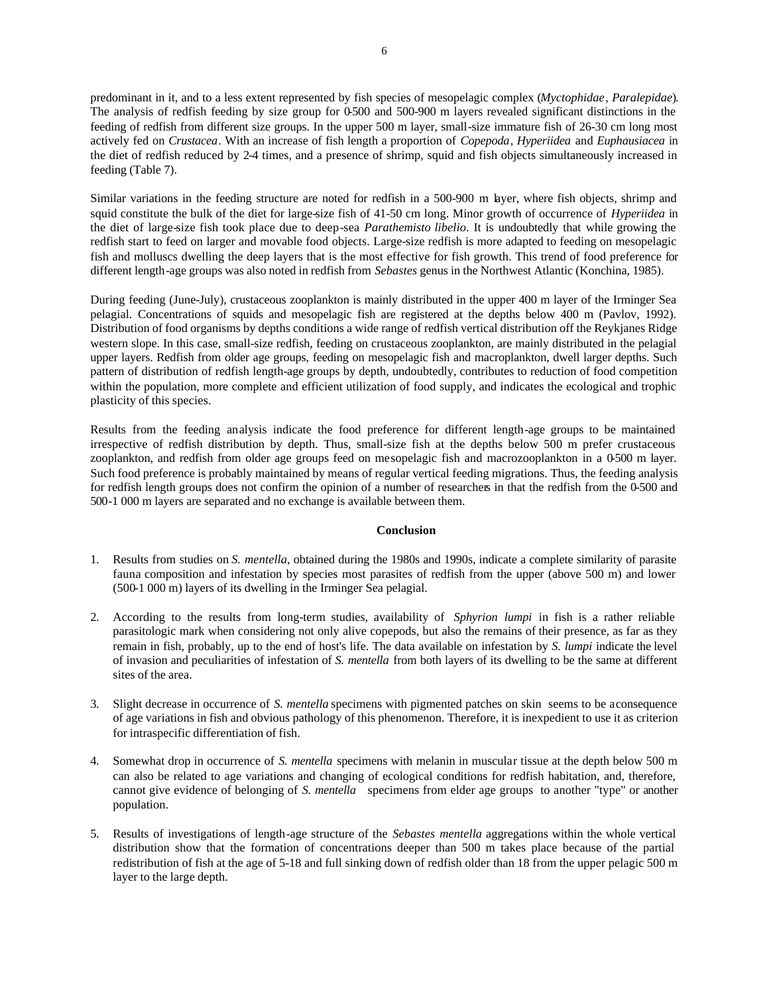predominant in it, and to a less extent represented by fish species of mesopelagic complex (*Myctophidae*, *Paralepidae*). The analysis of redfish feeding by size group for 0-500 and 500-900 m layers revealed significant distinctions in the feeding of redfish from different size groups. In the upper 500 m layer, small-size immature fish of 26-30 cm long most actively fed on *Crustacea*. With an increase of fish length a proportion of *Copepoda*, *Hyperiidea* and *Euphausiacea* in the diet of redfish reduced by 2-4 times, and a presence of shrimp, squid and fish objects simultaneously increased in feeding (Table 7).

Similar variations in the feeding structure are noted for redfish in a 500-900 m layer, where fish objects, shrimp and squid constitute the bulk of the diet for large-size fish of 41-50 cm long. Minor growth of occurrence of *Hyperiidea* in the diet of large-size fish took place due to deep-sea *Parathemisto libelio*. It is undoubtedly that while growing the redfish start to feed on larger and movable food objects. Large-size redfish is more adapted to feeding on mesopelagic fish and molluscs dwelling the deep layers that is the most effective for fish growth. This trend of food preference for different length-age groups was also noted in redfish from *Sebastes* genus in the Northwest Atlantic (Konchina, 1985).

During feeding (June-July), crustaceous zooplankton is mainly distributed in the upper 400 m layer of the Irminger Sea pelagial. Concentrations of squids and mesopelagic fish are registered at the depths below 400 m (Pavlov, 1992). Distribution of food organisms by depths conditions a wide range of redfish vertical distribution off the Reykjanes Ridge western slope. In this case, small-size redfish, feeding on crustaceous zooplankton, are mainly distributed in the pelagial upper layers. Redfish from older age groups, feeding on mesopelagic fish and macroplankton, dwell larger depths. Such pattern of distribution of redfish length-age groups by depth, undoubtedly, contributes to reduction of food competition within the population, more complete and efficient utilization of food supply, and indicates the ecological and trophic plasticity of this species.

Results from the feeding analysis indicate the food preference for different length-age groups to be maintained irrespective of redfish distribution by depth. Thus, small-size fish at the depths below 500 m prefer crustaceous zooplankton, and redfish from older age groups feed on mesopelagic fish and macrozooplankton in a 0-500 m layer. Such food preference is probably maintained by means of regular vertical feeding migrations. Thus, the feeding analysis for redfish length groups does not confirm the opinion of a number of researchers in that the redfish from the 0-500 and 500-1 000 m layers are separated and no exchange is available between them.

## **Conclusion**

- 1. Results from studies on *S. mentella*, obtained during the 1980s and 1990s, indicate a complete similarity of parasite fauna composition and infestation by species most parasites of redfish from the upper (above 500 m) and lower (500-1 000 m) layers of its dwelling in the Irminger Sea pelagial.
- 2. According to the results from long-term studies, availability of *Sphyrion lumpi* in fish is a rather reliable parasitologic mark when considering not only alive copepods, but also the remains of their presence, as far as they remain in fish, probably, up to the end of host's life. The data available on infestation by *S. lumpi* indicate the level of invasion and peculiarities of infestation of *S. mentella* from both layers of its dwelling to be the same at different sites of the area.
- 3. Slight decrease in occurrence of *S. mentella* specimens with pigmented patches on skin seems to be a consequence of age variations in fish and obvious pathology of this phenomenon. Therefore, it is inexpedient to use it as criterion for intraspecific differentiation of fish.
- 4. Somewhat drop in occurrence of *S. mentella* specimens with melanin in muscular tissue at the depth below 500 m can also be related to age variations and changing of ecological conditions for redfish habitation, and, therefore, cannot give evidence of belonging of *S. mentella* specimens from elder age groups to another "type" or another population.
- 5. Results of investigations of length-age structure of the *Sebastes mentella* aggregations within the whole vertical distribution show that the formation of concentrations deeper than 500 m takes place because of the partial redistribution of fish at the age of 5-18 and full sinking down of redfish older than 18 from the upper pelagic 500 m layer to the large depth.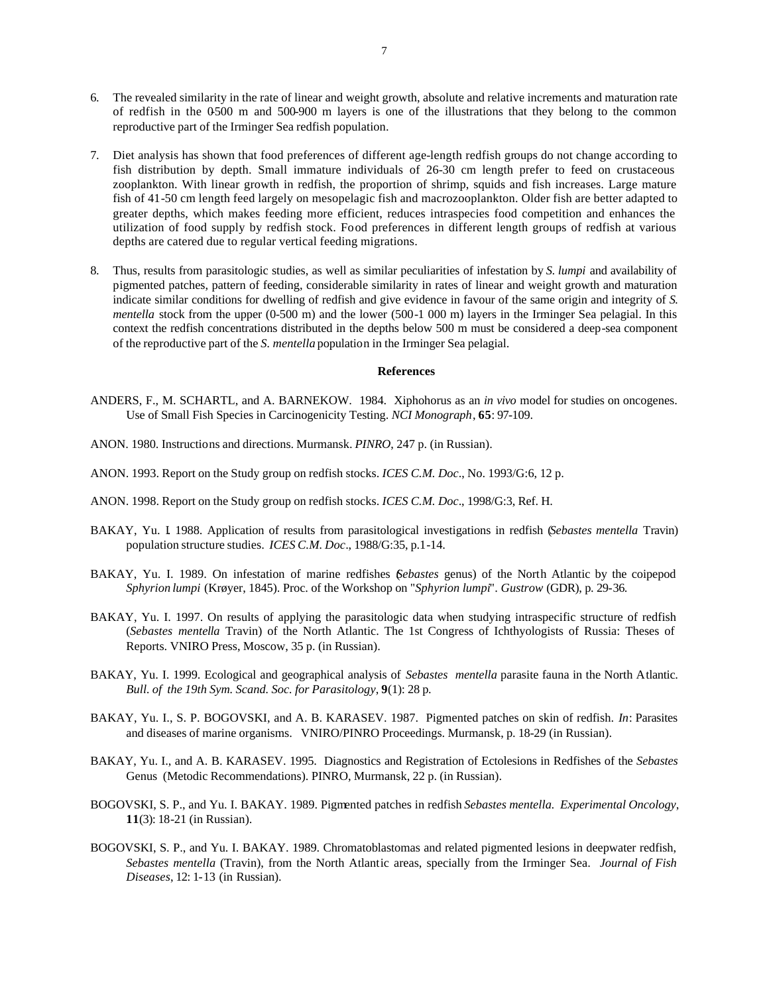- 6. The revealed similarity in the rate of linear and weight growth, absolute and relative increments and maturation rate of redfish in the 0-500 m and 500-900 m layers is one of the illustrations that they belong to the common reproductive part of the Irminger Sea redfish population.
- 7. Diet analysis has shown that food preferences of different age-length redfish groups do not change according to fish distribution by depth. Small immature individuals of 26-30 cm length prefer to feed on crustaceous zooplankton. With linear growth in redfish, the proportion of shrimp, squids and fish increases. Large mature fish of 41-50 cm length feed largely on mesopelagic fish and macrozooplankton. Older fish are better adapted to greater depths, which makes feeding more efficient, reduces intraspecies food competition and enhances the utilization of food supply by redfish stock. Food preferences in different length groups of redfish at various depths are catered due to regular vertical feeding migrations.
- 8. Thus, results from parasitologic studies, as well as similar peculiarities of infestation by *S. lumpi* and availability of pigmented patches, pattern of feeding, considerable similarity in rates of linear and weight growth and maturation indicate similar conditions for dwelling of redfish and give evidence in favour of the same origin and integrity of *S. mentella* stock from the upper (0-500 m) and the lower (500-1 000 m) layers in the Irminger Sea pelagial. In this context the redfish concentrations distributed in the depths below 500 m must be considered a deep-sea component of the reproductive part of the *S. mentella* population in the Irminger Sea pelagial.

### **References**

- ANDERS, F., M. SCHARTL, and A. BARNEKOW. 1984. Xiphohorus as an *in vivo* model for studies on oncogenes. Use of Small Fish Species in Carcinogenicity Testing. *NCI Monograph*, **65**: 97-109.
- ANON. 1980. Instructions and directions. Murmansk. *PINRO*, 247 p. (in Russian).
- ANON. 1993. Report on the Study group on redfish stocks. *ICES C.M. Doc*., No. 1993/G:6, 12 p.
- ANON. 1998. Report on the Study group on redfish stocks. *ICES C.M. Doc*., 1998/G:3, Ref. H.
- BAKAY, Yu. I. 1988. Application of results from parasitological investigations in redfish (*Sebastes mentella* Travin) population structure studies. *ICES C.M. Doc*., 1988/G:35, p.1-14.
- BAKAY, Yu. I. 1989. On infestation of marine redfishes (*Sebastes* genus) of the North Atlantic by the coipepod *Sphyrion lumpi* (Krøyer, 1845). Proc. of the Workshop on "*Sphyrion lumpi*". *Gustrow* (GDR), p. 29-36.
- BAKAY, Yu. I. 1997. On results of applying the parasitologic data when studying intraspecific structure of redfish (*Sebastes mentella* Travin) of the North Atlantic. The 1st Congress of Ichthyologists of Russia: Theses of Reports. VNIRO Press, Moscow, 35 p. (in Russian).
- BAKAY, Yu. I. 1999. Ecological and geographical analysis of *Sebastes mentella* parasite fauna in the North Atlantic. *Bull. of the 19th Sym. Scand. Soc. for Parasitology*, **9**(1): 28 p.
- BAKAY, Yu. I., S. P. BOGOVSKI, and A. B. KARASEV. 1987. Pigmented patches on skin of redfish. *In*: Parasites and diseases of marine organisms. VNIRO/PINRO Proceedings. Murmansk, p. 18-29 (in Russian).
- BAKAY, Yu. I., and A. B. KARASEV. 1995. Diagnostics and Registration of Ectolesions in Redfishes of the *Sebastes*  Genus (Metodic Recommendations). PINRO, Murmansk, 22 p. (in Russian).
- BOGOVSKI, S. P., and Yu. I. BAKAY. 1989. Pigmented patches in redfish *Sebastes mentella. Experimental Oncology*, **11**(3): 18-21 (in Russian).
- BOGOVSKI, S. P., and Yu. I. BAKAY. 1989. Chromatoblastomas and related pigmented lesions in deepwater redfish, *Sebastes mentella* (Travin), from the North Atlantic areas, specially from the Irminger Sea. *Journal of Fish Diseases*, 12: 1-13 (in Russian).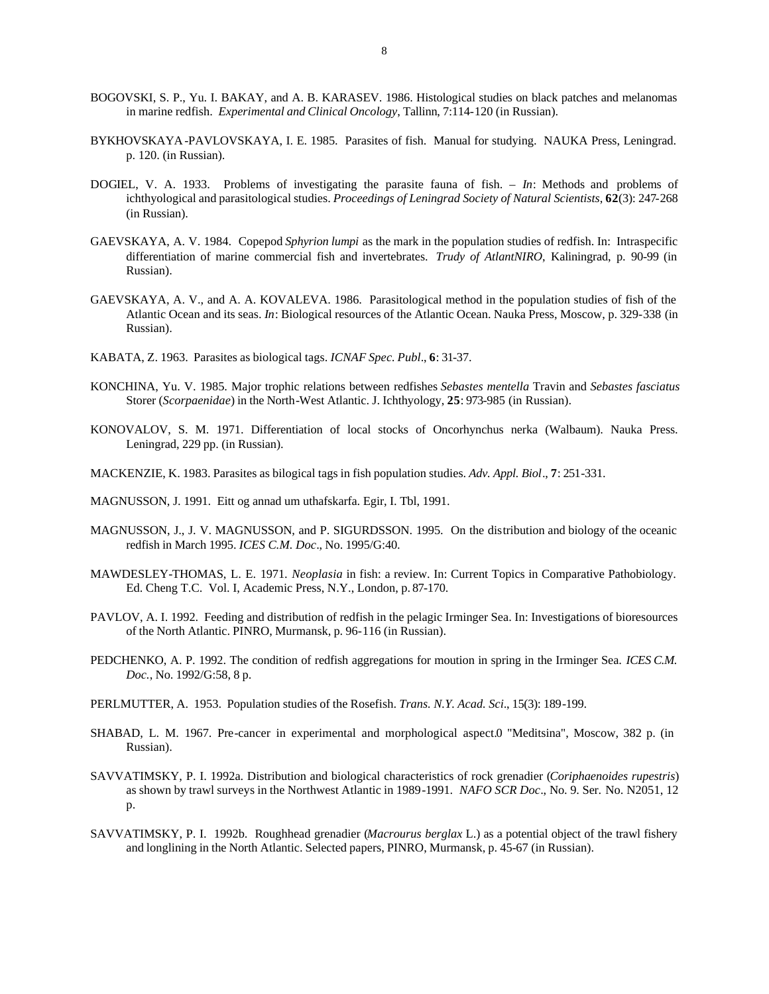- BOGOVSKI, S. P., Yu. I. BAKAY, and A. B. KARASEV. 1986. Histological studies on black patches and melanomas in marine redfish. *Experimental and Clinical Oncology*, Tallinn, 7:114-120 (in Russian).
- BYKHOVSKAYA-PAVLOVSKAYA, I. E. 1985. Parasites of fish. Manual for studying. NAUKA Press, Leningrad. p. 120. (in Russian).
- DOGIEL, V. A. 1933. Problems of investigating the parasite fauna of fish. *In*: Methods and problems of ichthyological and parasitological studies. *Proceedings of Leningrad Society of Natural Scientists*, **62**(3): 247-268 (in Russian).
- GAEVSKAYA, A. V. 1984. Copepod *Sphyrion lumpi* as the mark in the population studies of redfish. In: Intraspecific differentiation of marine commercial fish and invertebrates. *Trudy of AtlantNIRO*, Kaliningrad, p. 90-99 (in Russian).
- GAEVSKAYA, A. V., and A. A. KOVALEVA. 1986. Parasitological method in the population studies of fish of the Atlantic Ocean and its seas. *In*: Biological resources of the Atlantic Ocean. Nauka Press, Moscow, p. 329-338 (in Russian).
- KABATA, Z. 1963. Parasites as biological tags. *ICNAF Spec. Publ*., **6**: 31-37.
- KONCHINA, Yu. V. 1985. Major trophic relations between redfishes *Sebastes mentella* Travin and *Sebastes fasciatus* Storer (*Scorpaenidae*) in the North-West Atlantic. J. Ichthyology, **25**: 973-985 (in Russian).
- KONOVALOV, S. M. 1971. Differentiation of local stocks of Oncorhynchus nerka (Walbaum). Nauka Press. Leningrad, 229 pp. (in Russian).
- MACKENZIE, K. 1983. Parasites as bilogical tags in fish population studies. *Adv. Appl. Biol*., **7**: 251-331.
- MAGNUSSON, J. 1991. Eitt og annad um uthafskarfa. Egir, I. Tbl, 1991.
- MAGNUSSON, J., J. V. MAGNUSSON, and P. SIGURDSSON. 1995. On the distribution and biology of the oceanic redfish in March 1995. *ICES C.M. Doc*., No. 1995/G:40.
- MAWDESLEY-THOMAS, L. E. 1971. *Neoplasia* in fish: a review. In: Current Topics in Comparative Pathobiology. Ed. Cheng T.C. Vol. I, Academic Press, N.Y., London, p. 87-170.
- PAVLOV, A. I. 1992. Feeding and distribution of redfish in the pelagic Irminger Sea. In: Investigations of bioresources of the North Atlantic. PINRO, Murmansk, p. 96-116 (in Russian).
- PEDCHENKO, A. P. 1992. The condition of redfish aggregations for moution in spring in the Irminger Sea. *ICES C.M. Doc.*, No. 1992/G:58, 8 p.
- PERLMUTTER, A. 1953. Population studies of the Rosefish. *Trans. N.Y. Acad. Sci*., 15(3): 189-199.
- SHABAD, L. M. 1967. Pre-cancer in experimental and morphological aspect.0 "Meditsina", Moscow, 382 p. (in Russian).
- SAVVATIMSKY, P. I. 1992a. Distribution and biological characteristics of rock grenadier (*Coriphaenoides rupestris*) as shown by trawl surveys in the Northwest Atlantic in 1989-1991. *NAFO SCR Doc*., No. 9. Ser. No. N2051, 12 p.
- SAVVATIMSKY, P. I. 1992b. Roughhead grenadier (*Macrourus berglax* L.) as a potential object of the trawl fishery and longlining in the North Atlantic. Selected papers, PINRO, Murmansk, p. 45-67 (in Russian).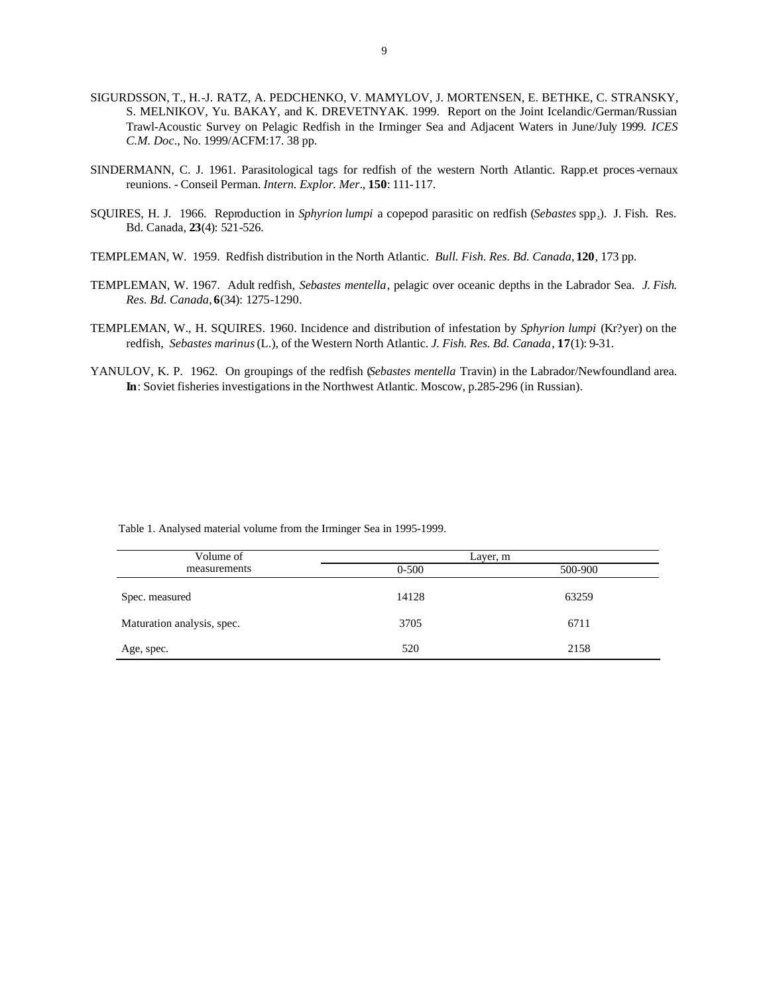- SIGURDSSON, T., H.-J. RATZ, A. PEDCHENKO, V. MAMYLOV, J. MORTENSEN, E. BETHKE, C. STRANSKY, S. MELNIKOV, Yu. BAKAY, and K. DREVETNYAK. 1999. Report on the Joint Icelandic/German/Russian Trawl-Acoustic Survey on Pelagic Redfish in the Irminger Sea and Adjacent Waters in June/July 1999. *ICES C.M. Doc*., No. 1999/ACFM:17. 38 pp.
- SINDERMANN, C. J. 1961. Parasitological tags for redfish of the western North Atlantic. Rapp.et proces-vernaux reunions. - Conseil Perman. *Intern. Explor. Mer*., **150**: 111-117.
- SQUIRES, H. J. 1966. Reproduction in *Sphyrion lumpi* a copepod parasitic on redfish (*Sebastes* spp.). J. Fish. Res. Bd. Canada, **23**(4): 521-526.
- TEMPLEMAN, W. 1959. Redfish distribution in the North Atlantic. *Bull. Fish. Res. Bd. Canada*, **120**, 173 pp.
- TEMPLEMAN, W. 1967. Adult redfish, *Sebastes mentella*, pelagic over oceanic depths in the Labrador Sea. *J. Fish. Res. Bd. Canada*, **6**(34): 1275-1290.
- TEMPLEMAN, W., H. SQUIRES. 1960. Incidence and distribution of infestation by *Sphyrion lumpi* (Kr?yer) on the redfish, *Sebastes marinus* (L.), of the Western North Atlantic. *J. Fish. Res. Bd. Canada*, **17**(1): 9-31.
- YANULOV, K. P. 1962. On groupings of the redfish (*Sebastes mentella* Travin) in the Labrador/Newfoundland area. **In**: Soviet fisheries investigations in the Northwest Atlantic. Moscow, p.285-296 (in Russian).

| Volume of                  | Layer, m  |         |
|----------------------------|-----------|---------|
| measurements               | $0 - 500$ | 500-900 |
| Spec. measured             | 14128     | 63259   |
| Maturation analysis, spec. | 3705      | 6711    |
| Age, spec.                 | 520       | 2158    |

Table 1. Analysed material volume from the Irminger Sea in 1995-1999.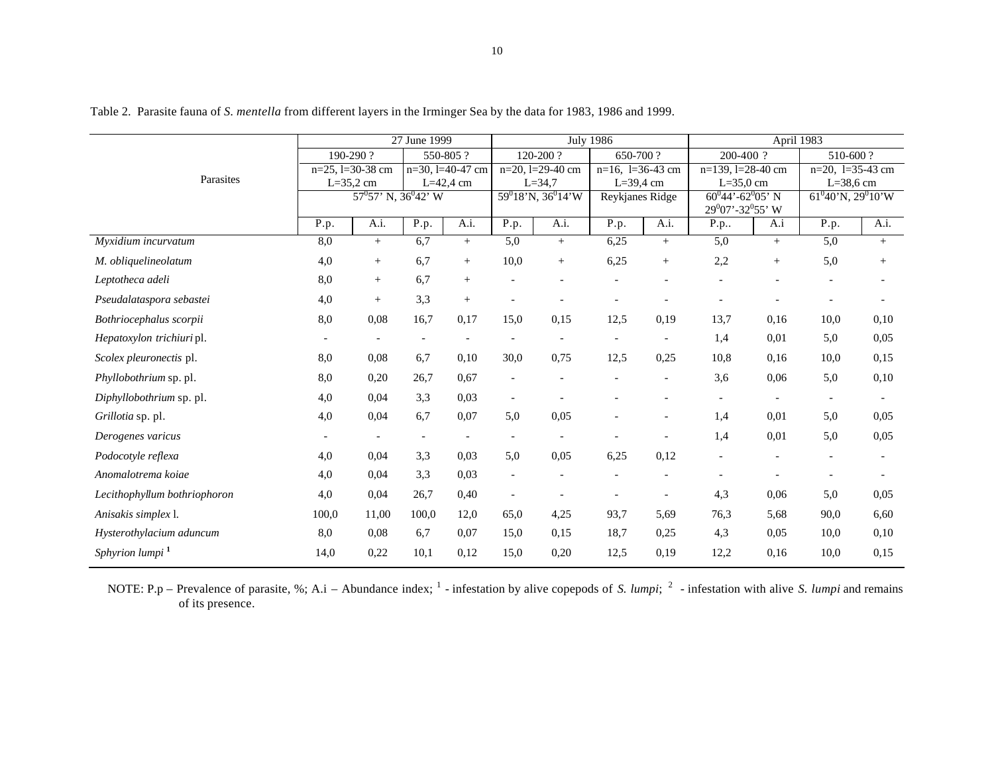|                              |                       |                            | 27 June 1999             |                          | <b>July 1986</b> |                           |               | April 1983               |                        |                                                       |                       |                          |  |
|------------------------------|-----------------------|----------------------------|--------------------------|--------------------------|------------------|---------------------------|---------------|--------------------------|------------------------|-------------------------------------------------------|-----------------------|--------------------------|--|
| Parasites                    | 190-290?              |                            |                          | 550-805?                 |                  | 120-200?                  | 650-700?      |                          | 200-400 ?              |                                                       | 510-600?              |                          |  |
|                              | $n=25$ , $1=30-38$ cm |                            |                          | $n=30$ , $l=40-47$ cm    |                  | $n=20$ , $l=29-40$ cm     |               | $n=16$ , $l=36-43$ cm    | $n=139$ , $l=28-40$ cm |                                                       | $n=20$ , $l=35-43$ cm |                          |  |
|                              | $L = 35,2$ cm         |                            |                          | $L=42,4$ cm              |                  | $L = 34,7$                | $L = 39.4$ cm |                          | $L = 35,0$ cm          |                                                       | $L=38,6$ cm           |                          |  |
|                              |                       | $57^0 57'$ N, $36^0 42'$ W |                          |                          |                  | $59^018'$ N, 36 $^014'$ W |               | Reykjanes Ridge          |                        | $60^{0}44' - 62^{0}05'$ N<br>$29^0$ 07'-32 $^0$ 55' W |                       | $61^040'$ N, $29^010'$ W |  |
|                              | P.p.                  | A.i.                       | P.p.                     | A.i.                     | P.p.             | A.i.                      | P.p.          | A.i.                     | P.p                    | A.i                                                   | P.p.                  | A.i.                     |  |
| Myxidium incurvatum          | 8,0                   | $^{+}$                     | 6,7                      | $^{+}$                   | 5,0              | $+$                       | 6,25          | $^{+}$                   | 5,0                    | $+$                                                   | 5,0                   | $^{+}$                   |  |
| M. obliquelineolatum         | 4,0                   | $\! + \!\!\!\!$            | 6,7                      | $\qquad \qquad +$        | 10,0             | $\! + \!\!\!\!$           | 6,25          | $^{+}$                   | 2,2                    | $^{+}$                                                | 5,0                   | $^{+}$                   |  |
| Leptotheca adeli             | 8,0                   | $^{+}$                     | 6,7                      | $^{+}$                   |                  |                           |               |                          |                        |                                                       |                       |                          |  |
| Pseudalataspora sebastei     | 4,0                   | $^{+}$                     | 3,3                      | $^{+}$                   |                  |                           |               |                          |                        |                                                       |                       |                          |  |
| Bothriocephalus scorpii      | 8,0                   | 0,08                       | 16,7                     | 0,17                     | 15,0             | 0,15                      | 12,5          | 0,19                     | 13,7                   | 0,16                                                  | 10,0                  | 0,10                     |  |
| Hepatoxylon trichiuri pl.    |                       |                            |                          |                          |                  |                           |               |                          | 1,4                    | 0,01                                                  | 5,0                   | 0,05                     |  |
| Scolex pleuronectis pl.      | 8,0                   | 0,08                       | 6,7                      | 0,10                     | 30,0             | 0,75                      | 12,5          | 0,25                     | 10,8                   | 0,16                                                  | 10,0                  | 0,15                     |  |
| Phyllobothrium sp. pl.       | 8,0                   | 0,20                       | 26,7                     | 0.67                     |                  |                           |               |                          | 3,6                    | 0,06                                                  | 5,0                   | 0,10                     |  |
| Diphyllobothrium sp. pl.     | 4,0                   | 0,04                       | 3,3                      | 0,03                     |                  |                           |               |                          |                        |                                                       |                       |                          |  |
| Grillotia sp. pl.            | 4,0                   | 0,04                       | 6,7                      | 0,07                     | 5,0              | 0,05                      |               |                          | 1,4                    | 0,01                                                  | 5,0                   | 0,05                     |  |
| Derogenes varicus            |                       |                            | $\overline{\phantom{a}}$ | $\overline{\phantom{a}}$ |                  |                           |               | $\overline{\phantom{a}}$ | 1,4                    | 0,01                                                  | 5,0                   | 0,05                     |  |
| Podocotyle reflexa           | 4,0                   | 0,04                       | 3,3                      | 0,03                     | 5,0              | 0,05                      | 6,25          | 0,12                     |                        |                                                       |                       |                          |  |
| Anomalotrema koiae           | 4,0                   | 0,04                       | 3,3                      | 0.03                     |                  |                           |               |                          |                        |                                                       |                       |                          |  |
| Lecithophyllum bothriophoron | 4,0                   | 0,04                       | 26,7                     | 0,40                     |                  |                           |               | $\overline{\phantom{a}}$ | 4,3                    | 0,06                                                  | 5,0                   | 0,05                     |  |
| Anisakis simplex l.          | 100,0                 | 11,00                      | 100,0                    | 12,0                     | 65,0             | 4,25                      | 93,7          | 5,69                     | 76,3                   | 5,68                                                  | 90,0                  | 6,60                     |  |
| Hysterothylacium aduncum     | 8,0                   | 0,08                       | 6,7                      | 0.07                     | 15,0             | 0.15                      | 18,7          | 0,25                     | 4,3                    | 0.05                                                  | 10,0                  | 0,10                     |  |
| Sphyrion lumpi <sup>1</sup>  | 14,0                  | 0,22                       | 10,1                     | 0,12                     | 15,0             | 0,20                      | 12,5          | 0.19                     | 12,2                   | 0,16                                                  | 10,0                  | 0,15                     |  |

Table 2. Parasite fauna of *S. mentella* from different layers in the Irminger Sea by the data for 1983, 1986 and 1999.

NOTE: P.p – Prevalence of parasite, %; A.i – Abundance index;  $\frac{1}{1}$  - infestation by alive copepods of *S. lumpi*;  $\frac{2}{1}$  - infestation with alive *S. lumpi* and remains of its presence.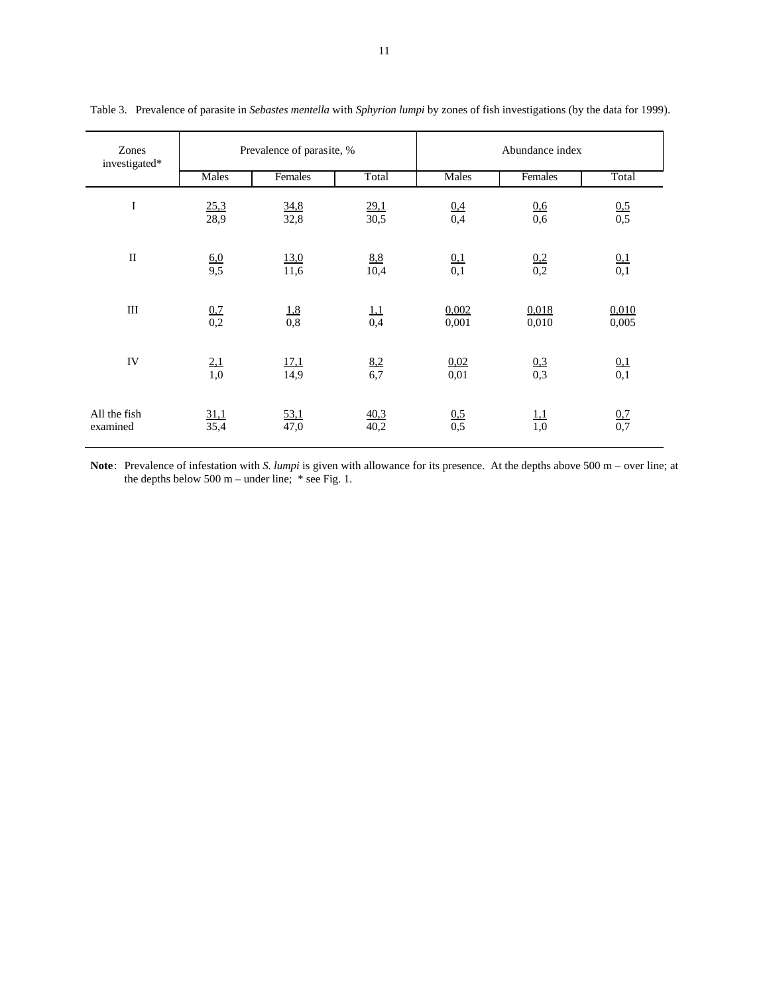| Zones<br>investigated*   |                   | Prevalence of parasite, % |                   | Abundance index   |                   |                   |  |
|--------------------------|-------------------|---------------------------|-------------------|-------------------|-------------------|-------------------|--|
|                          | Males             | Females                   | Total             | Males             | Females           | Total             |  |
| $\bf I$                  | 25,3<br>28,9      | 34,8<br>32,8              | 29,1<br>30,5      | $\frac{0,4}{0,4}$ | 0.6<br>0,6        | $\frac{0.5}{0.5}$ |  |
| $\rm II$                 | $\frac{6,0}{9,5}$ | 13,0<br>11,6              | 8.8<br>10,4       | $\frac{0,1}{0,1}$ | $\frac{0.2}{0.2}$ | $\frac{0,1}{0,1}$ |  |
| $\rm III$                | $\frac{0,7}{0,2}$ | $\frac{1,8}{0,8}$         | $\frac{1,1}{0,4}$ | 0,002<br>0,001    | 0,018<br>0,010    | 0,010<br>0,005    |  |
| IV                       | 2,1<br>1,0        | <u>17,1</u><br>14,9       | 8,2<br>6,7        | 0,02<br>0,01      | 0,3<br>0,3        | $\frac{0,1}{0,1}$ |  |
| All the fish<br>examined | 31,1<br>35,4      | 53,1<br>47,0              | 40,3<br>40,2      | $\frac{0.5}{0.5}$ | $\frac{1,1}{1,0}$ | $\frac{0.7}{0.7}$ |  |

Table 3. Prevalence of parasite in *Sebastes mentella* with *Sphyrion lumpi* by zones of fish investigations (by the data for 1999).

**Note**: Prevalence of infestation with *S. lumpi* is given with allowance for its presence. At the depths above 500 m – over line; at the depths below 500 m – under line;  $*$  see Fig. 1.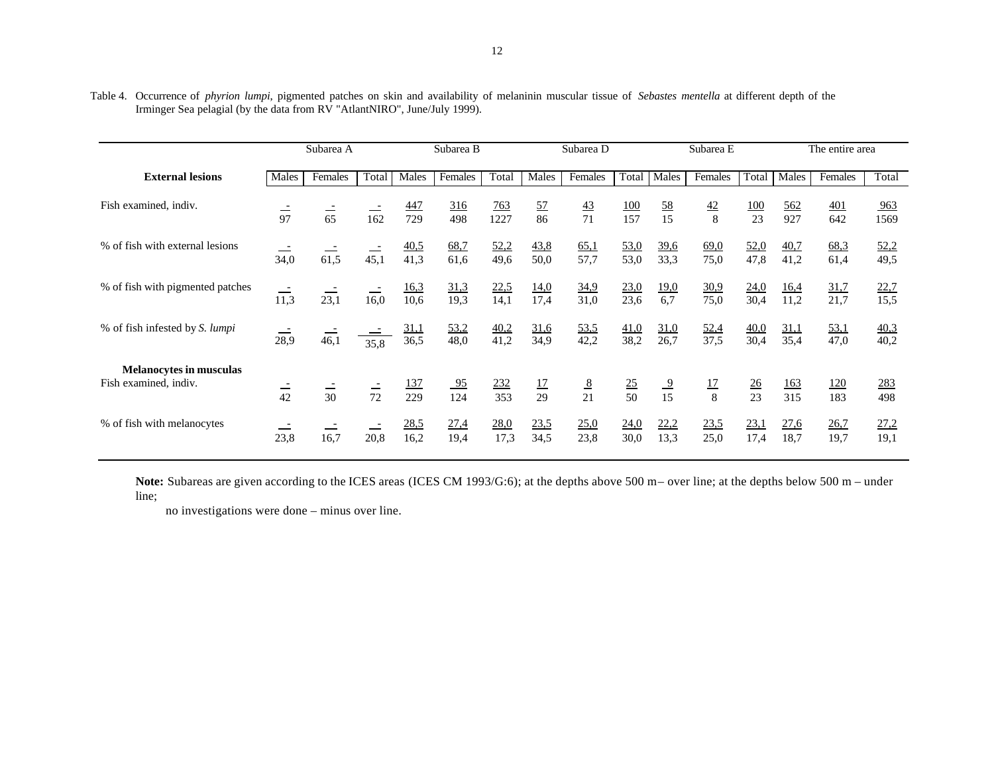|                                                         | Subarea A<br>Subarea B |                |                | Subarea D           |                       |                         | Subarea E           | The entire area     |                       |                     |                     |                      |                     |                     |              |
|---------------------------------------------------------|------------------------|----------------|----------------|---------------------|-----------------------|-------------------------|---------------------|---------------------|-----------------------|---------------------|---------------------|----------------------|---------------------|---------------------|--------------|
| <b>External lesions</b>                                 | Males                  | Females        | Total          | Males               | Females               | Total                   | Males               | Females             | Total                 | Males               | Females             | Total                | Males               | Females             | Total        |
| Fish examined, indiv.                                   | $\frac{1}{97}$         | $\frac{1}{65}$ | 162            | <u>447</u><br>729   | <u>316</u><br>498     | $\frac{763}{2}$<br>1227 | <u>57</u><br>86     | $\frac{43}{71}$     | <u>100</u><br>157     | $\frac{58}{15}$     | 42<br>8             | <u>100</u><br>23     | 562<br>927          | <u>401</u><br>642   | 963<br>1569  |
| % of fish with external lesions                         | 34,0                   | 61,5           | 45,1           | <u>40,5</u><br>41,3 | 68,7<br>61,6          | 52,2<br>49,6            | 43,8<br>50,0        | 65,1<br>57,7        | 53,0<br>53,0          | <u>39,6</u><br>33,3 | 69,0<br>75,0        | 52,0<br>47,8         | 40,7<br>41,2        | 68,3<br>61,4        | 52,2<br>49,5 |
| % of fish with pigmented patches                        | 11,3                   | 23,1           | 16,0           | <u>16,3</u><br>10,6 | 31,3<br>19,3          | 22,5<br>14,1            | <u>14,0</u><br>17,4 | 34,9<br>31,0        | 23,0<br>23,6          | <u>19,0</u><br>6,7  | 30,9<br>75,0        | 24,0<br>30,4         | <u>16,4</u><br>11,2 | 31,7<br>21,7        | 22,7<br>15,5 |
| % of fish infested by S. lumpi                          | 28,9                   | 46,1           | 35,8           | <u>31,1</u><br>36,5 | <u>53,2</u><br>48,0   | 40,2<br>41,2            | <u>31,6</u><br>34,9 | <u>53,5</u><br>42,2 | 41,0<br>38,2          | <u>31,0</u><br>26,7 | <u>52,4</u><br>37,5 | 40,0<br>30,4         | <u>31,1</u><br>35,4 | <u>53,1</u><br>47,0 | 40,3<br>40,2 |
| <b>Melanocytes in musculas</b><br>Fish examined, indiv. | $\frac{1}{42}$         | $\frac{1}{30}$ | $\frac{1}{72}$ | <u>137</u><br>229   | $\frac{95}{2}$<br>124 | 232<br>353              | $\frac{17}{29}$     | $\frac{8}{21}$      | $\overline{25}$<br>50 | $\frac{9}{15}$      | 17<br>8             | $\frac{26}{5}$<br>23 | <u>163</u><br>315   | <u>120</u><br>183   | 283<br>498   |
| % of fish with melanocytes                              | 23,8                   | 16,7           | 20,8           | 28,5<br>16,2        | 27,4<br>19,4          | 28,0<br>17,3            | 23,5<br>34,5        | 25,0<br>23,8        | 24,0<br>30,0          | 22,2<br>13,3        | 23,5<br>25,0        | 23,1<br>17,4         | 27,6<br>18,7        | 26,7<br>19,7        | 27,2<br>19,1 |

Table 4. Occurrence of *phyrion lumpi*, pigmented patches on skin and availability of melaninin muscular tissue of *Sebastes mentella* at different depth of the Irminger Sea pelagial (by the data from RV "AtlantNIRO", June/July 1999).

Note: Subareas are given according to the ICES areas (ICES CM 1993/G:6); at the depths above 500 m- over line; at the depths below 500 m- under line;

no investigations were done – minus over line.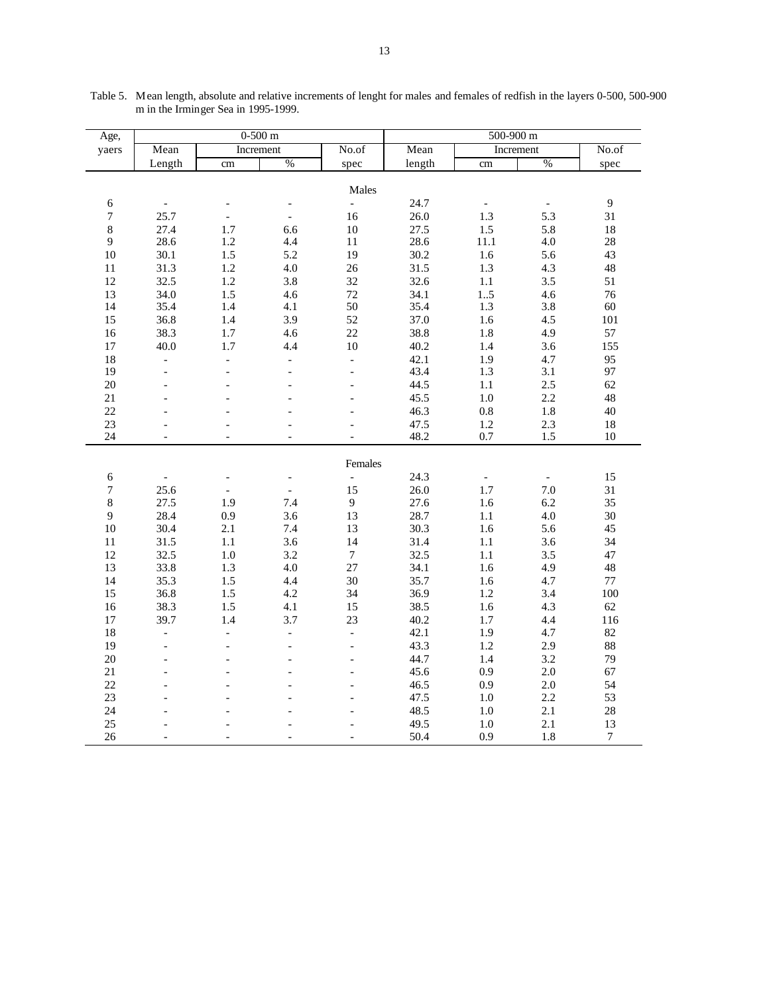| Age,             |                   |                          | $0-500$ m           |                  |              | $500 - 900$ m       |            |                  |  |
|------------------|-------------------|--------------------------|---------------------|------------------|--------------|---------------------|------------|------------------|--|
| yaers            | Mean              |                          | Increment           | No.of            | Mean         |                     | Increment  | No.of            |  |
|                  | Length            | cm                       | $\%$                | spec             | length       | cm                  | $\%$       | spec             |  |
|                  |                   |                          |                     |                  |              |                     |            |                  |  |
|                  |                   |                          |                     | Males            |              |                     |            |                  |  |
| $\sqrt{6}$       |                   |                          |                     | ÷,               | 24.7         |                     |            | $\overline{9}$   |  |
| $\boldsymbol{7}$ | 25.7              | $\overline{a}$           | $\frac{1}{2}$       | 16               | 26.0         | 1.3                 | 5.3        | 31               |  |
| $\,8\,$<br>9     | 27.4<br>28.6      | 1.7<br>1.2               | 6.6<br>4.4          | $10\,$<br>$11\,$ | 27.5<br>28.6 | $1.5\,$<br>$11.1\,$ | 5.8<br>4.0 | $18\,$<br>$28\,$ |  |
| $10\,$           | 30.1              | 1.5                      | 5.2                 | 19               | 30.2         | 1.6                 | 5.6        | 43               |  |
| $11\,$           | 31.3              | $1.2\,$                  | $4.0\,$             | $26\,$           | 31.5         | $1.3\,$             | 4.3        | 48               |  |
| 12               | 32.5              | 1.2                      | 3.8                 | 32               | 32.6         | $1.1\,$             | 3.5        | 51               |  |
| 13               | 34.0              | 1.5                      | 4.6                 | 72               | 34.1         | 15                  | 4.6        | 76               |  |
| 14               | 35.4              | 1.4                      | 4.1                 | 50               | 35.4         | 1.3                 | 3.8        | 60               |  |
| 15               | 36.8              | 1.4                      | 3.9                 | 52               | 37.0         | 1.6                 | 4.5        | 101              |  |
| 16               | 38.3              | 1.7                      | 4.6                 | 22               | 38.8         | 1.8                 | 4.9        | 57               |  |
| $17\,$           | 40.0              | 1.7                      | 4.4                 | 10               | 40.2         | 1.4                 | 3.6        | 155              |  |
| $18\,$           | $\overline{a}$    | $\overline{a}$           | $\overline{a}$      | $\overline{a}$   | 42.1         | 1.9                 | 4.7        | 95               |  |
| 19               | $\overline{a}$    | $\overline{a}$           |                     | $\overline{a}$   | 43.4         | 1.3                 | 3.1        | 97               |  |
| 20               | $\overline{a}$    | $\overline{a}$           |                     | $\overline{a}$   | 44.5         | $1.1\,$             | 2.5        | 62               |  |
| $21\,$           |                   |                          |                     |                  | 45.5         | $1.0\,$             | 2.2        | 48               |  |
| 22               |                   |                          |                     |                  | 46.3         | $0.8\,$             | $1.8\,$    | 40               |  |
| 23               |                   |                          |                     |                  | 47.5         | $1.2\,$             | 2.3        | $18\,$           |  |
| 24               | $\qquad \qquad -$ | $\overline{a}$           | $\overline{a}$      |                  | 48.2         | 0.7                 | 1.5        | 10               |  |
|                  |                   |                          |                     | Females          |              |                     |            |                  |  |
| $\sqrt{6}$       | $\overline{a}$    | $\overline{\phantom{0}}$ | $\blacksquare$      | $\frac{1}{2}$    | 24.3         | $\blacksquare$      |            | 15               |  |
| $\overline{7}$   | 25.6              | $\overline{\phantom{a}}$ | $\equiv$            | 15               | 26.0         | 1.7                 | $7.0\,$    | 31               |  |
| $8\,$            | 27.5              | 1.9                      | 7.4                 | $\mathbf{9}$     | 27.6         | $1.6\,$             | 6.2        | 35               |  |
| 9                | 28.4              | 0.9                      | 3.6                 | 13               | 28.7         | $1.1\,$             | $4.0\,$    | $30\,$           |  |
| 10               | 30.4              | 2.1                      | 7.4                 | 13               | 30.3         | 1.6                 | 5.6        | 45               |  |
| $11\,$           | 31.5              | $1.1\,$                  | 3.6                 | 14               | 31.4         | $1.1\,$             | 3.6        | 34               |  |
| $12\,$           | 32.5              | $1.0\,$                  | 3.2                 | $\boldsymbol{7}$ | 32.5         | $1.1\,$             | 3.5        | 47               |  |
| 13<br>14         | 33.8              | 1.3<br>1.5               | 4.0<br>4.4          | 27               | 34.1         | 1.6                 | 4.9<br>4.7 | 48<br>$77\,$     |  |
| 15               | 35.3<br>36.8      | 1.5                      | 4.2                 | 30<br>34         | 35.7<br>36.9 | $1.6\,$<br>$1.2\,$  | 3.4        | 100              |  |
| 16               | 38.3              | 1.5                      | 4.1                 | 15               | 38.5         | 1.6                 | 4.3        | 62               |  |
| $17\,$           | 39.7              | 1.4                      | 3.7                 | 23               | 40.2         | 1.7                 | 4.4        | 116              |  |
| 18               | $\overline{a}$    | $\Box$                   | $\bar{\phantom{a}}$ | $\overline{a}$   | 42.1         | 1.9                 | 4.7        | 82               |  |
| 19               |                   |                          |                     |                  | 43.3         | $1.2\,$             | 2.9        | 88               |  |
| 20               | $\overline{a}$    |                          | $\overline{a}$      | $\overline{a}$   | 44.7         | 1.4                 | 3.2        | 79               |  |
| 21               | $\overline{a}$    |                          |                     |                  | 45.6         | 0.9                 | $2.0\,$    | 67               |  |
| 22               |                   |                          |                     |                  | 46.5         | 0.9                 | $2.0\,$    | 54               |  |
| $23\,$           |                   |                          |                     |                  | 47.5         | $1.0\,$             | $2.2\,$    | 53               |  |
| 24               |                   |                          |                     |                  | 48.5         | 1.0                 | 2.1        | $28\,$           |  |
| 25               |                   |                          |                     |                  | 49.5         | 1.0                 | 2.1        | 13               |  |
| 26               |                   |                          |                     |                  | 50.4         | 0.9                 | $1.8\,$    | $\overline{7}$   |  |

Table 5. Mean length, absolute and relative increments of lenght for males and females of redfish in the layers 0-500, 500-900 m in the Irminger Sea in 1995-1999.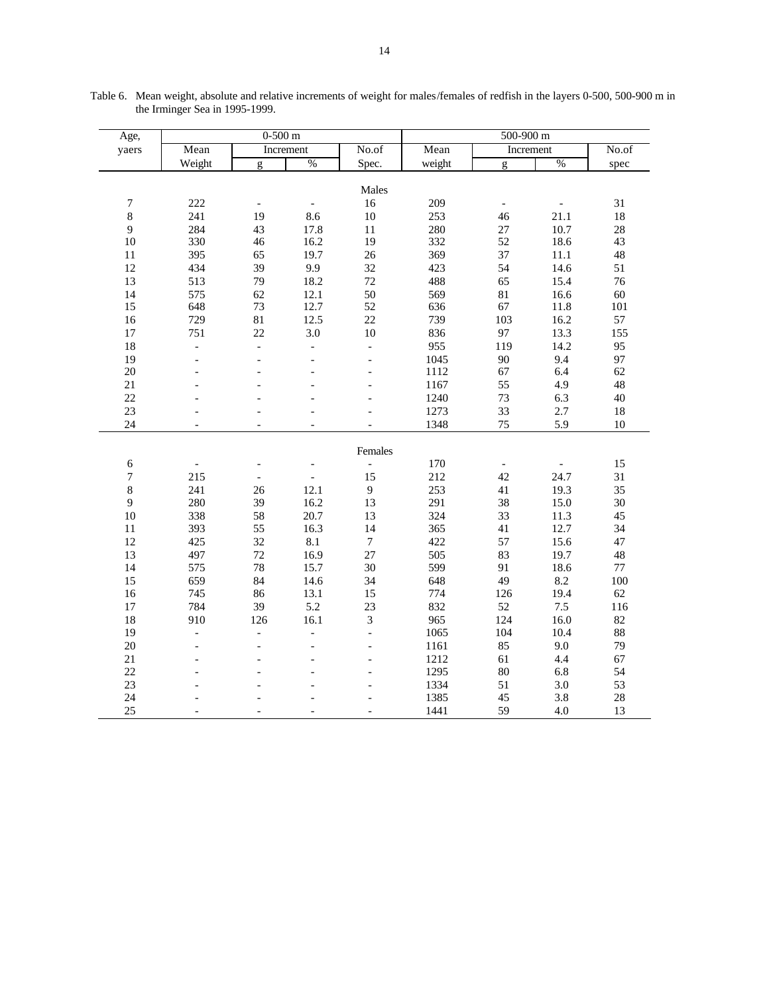| Age,             |                          | $0-500$ m                |                          |                          | 500-900 m |                          |       |         |  |
|------------------|--------------------------|--------------------------|--------------------------|--------------------------|-----------|--------------------------|-------|---------|--|
| yaers            | Mean                     |                          | Increment                | No.of                    | Mean      | Increment                |       | No.of   |  |
|                  | Weight                   | g                        | $\%$                     | Spec.                    | weight    | g                        | $\%$  | spec    |  |
|                  |                          |                          |                          |                          |           |                          |       |         |  |
|                  |                          |                          |                          | Males                    |           |                          |       |         |  |
| $\boldsymbol{7}$ | 222                      | $\overline{\phantom{a}}$ | $\overline{a}$           | 16                       | 209       | $\overline{\phantom{a}}$ |       | 31      |  |
| $\,8\,$          | 241                      | 19                       | $8.6\,$                  | $10\,$                   | 253       | 46                       | 21.1  | 18      |  |
| 9                | 284                      | 43                       | 17.8                     | $11\,$                   | 280       | 27                       | 10.7  | 28      |  |
| 10               | 330                      | 46                       | 16.2                     | 19                       | 332       | 52                       | 18.6  | 43      |  |
| $11\,$           | 395                      | 65                       | 19.7                     | 26                       | 369       | 37                       | 11.1  | 48      |  |
| 12               | 434                      | 39                       | 9.9                      | 32                       | 423       | 54                       | 14.6  | 51      |  |
| 13               | 513                      | 79                       | 18.2                     | 72                       | 488       | 65                       | 15.4  | 76      |  |
| 14               | 575                      | 62                       | 12.1                     | 50                       | 569       | 81                       | 16.6  | 60      |  |
| 15               | 648                      | 73                       | 12.7                     | 52                       | 636       | 67                       | 11.8  | 101     |  |
| 16               | 729                      | 81                       | 12.5                     | 22                       | 739       | 103                      | 16.2  | 57      |  |
| $17\,$           | 751                      | 22                       | $3.0\,$                  | $10\,$                   | 836       | 97                       | 13.3  | 155     |  |
| 18               | $\frac{1}{2}$            | $\overline{a}$           | $\overline{a}$           | $\overline{a}$           | 955       | 119                      | 14.2  | 95      |  |
| 19               | $\overline{\phantom{0}}$ |                          | $\overline{\phantom{0}}$ | $\overline{a}$           | 1045      | 90                       | 9.4   | 97      |  |
| 20               |                          |                          |                          |                          | 1112      | 67                       | 6.4   | 62      |  |
| 21               |                          |                          |                          |                          | 1167      | 55                       | 4.9   | 48      |  |
| 22               |                          |                          |                          |                          | 1240      | 73                       | 6.3   | 40      |  |
| 23               |                          |                          |                          |                          | 1273      | 33                       | 2.7   | 18      |  |
| 24               | $\equiv$                 |                          | $\overline{a}$           |                          | 1348      | 75                       | 5.9   | 10      |  |
|                  |                          |                          |                          |                          |           |                          |       |         |  |
|                  |                          |                          |                          | Females                  |           |                          |       |         |  |
| $\epsilon$       |                          |                          |                          | $\overline{\phantom{a}}$ | 170       | $\overline{\phantom{a}}$ |       | 15      |  |
| $\boldsymbol{7}$ | 215                      | $\overline{\phantom{a}}$ | $\overline{a}$           | 15                       | 212       | 42                       | 24.7  | 31      |  |
| $\,8\,$          | 241                      | 26                       | 12.1                     | 9                        | 253       | 41                       | 19.3  | 35      |  |
| 9                | 280                      | 39                       | 16.2                     | 13                       | 291       | 38                       | 15.0  | 30      |  |
| 10               | 338                      | 58                       | 20.7                     | 13                       | 324       | 33                       | 11.3  | 45      |  |
| $11\,$           | 393                      | 55                       | 16.3                     | 14                       | 365       | 41                       | 12.7  | 34      |  |
| 12               | 425                      | 32                       | 8.1                      | $\boldsymbol{7}$         | 422       | 57                       | 15.6  | 47      |  |
| 13               | 497                      | 72                       | 16.9                     | 27                       | 505       | 83                       | 19.7  | 48      |  |
| 14               | 575                      | 78                       | 15.7                     | 30                       | 599       | 91                       | 18.6  | $77\,$  |  |
| 15               | 659                      | 84                       | 14.6                     | 34                       | 648       | 49                       | 8.2   | $100\,$ |  |
| 16               | 745                      | 86                       | 13.1                     | 15                       | 774       | 126                      | 19.4  | 62      |  |
| 17               | 784                      | 39                       | 5.2                      | 23                       | 832       | 52                       | $7.5$ | 116     |  |
| 18               | 910                      | 126                      | 16.1                     | 3                        | 965       | 124                      | 16.0  | 82      |  |
| 19               | $\overline{a}$           | $\overline{a}$           | $\overline{a}$           | $\overline{a}$           | 1065      | 104                      | 10.4  | 88      |  |
| $20\,$           | $\overline{a}$           |                          | $\overline{a}$           |                          | 1161      | 85                       | 9.0   | 79      |  |
| 21               |                          |                          | $\overline{a}$           | $\overline{a}$           | 1212      | 61                       | 4.4   | 67      |  |
| 22               |                          |                          |                          |                          | 1295      | 80                       | 6.8   | 54      |  |
| 23               |                          |                          |                          |                          | 1334      | 51                       | 3.0   | 53      |  |
| 24               |                          |                          |                          |                          | 1385      | 45                       | 3.8   | 28      |  |
| 25               |                          |                          |                          |                          | 1441      | 59                       | 4.0   | 13      |  |

Table 6. Mean weight, absolute and relative increments of weight for males/females of redfish in the layers 0-500, 500-900 m in the Irminger Sea in 1995-1999.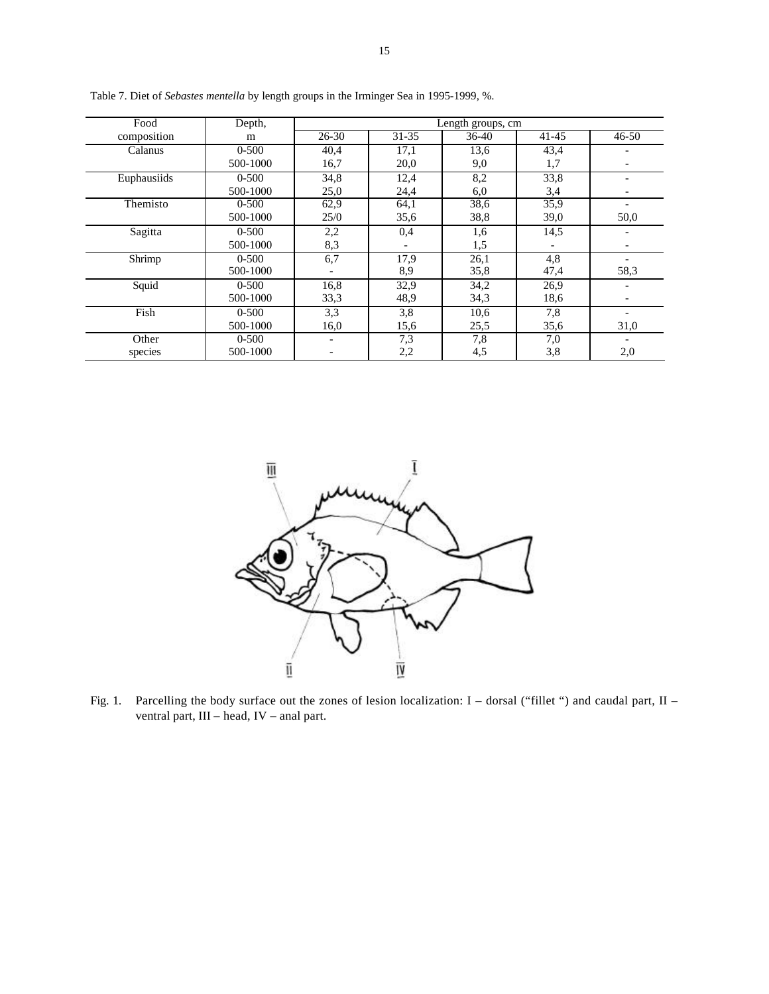| Food        | Depth,    | Length groups, cm |           |       |           |           |  |  |  |  |
|-------------|-----------|-------------------|-----------|-------|-----------|-----------|--|--|--|--|
| composition | m         | $26 - 30$         | $31 - 35$ | 36-40 | $41 - 45$ | $46 - 50$ |  |  |  |  |
| Calanus     | $0 - 500$ | 40,4              | 17,1      | 13,6  | 43,4      |           |  |  |  |  |
|             | 500-1000  | 16,7              | 20,0      | 9,0   | 1,7       |           |  |  |  |  |
| Euphausiids | $0 - 500$ | 34,8              | 12,4      | 8,2   | 33,8      |           |  |  |  |  |
|             | 500-1000  | 25,0              | 24,4      | 6,0   | 3,4       |           |  |  |  |  |
| Themisto    | $0 - 500$ | 62,9              | 64,1      | 38,6  | 35,9      |           |  |  |  |  |
|             | 500-1000  | 25/0              | 35,6      | 38,8  | 39,0      | 50,0      |  |  |  |  |
| Sagitta     | $0 - 500$ | 2,2               | 0,4       | 1,6   | 14,5      |           |  |  |  |  |
|             | 500-1000  | 8,3               |           | 1,5   |           |           |  |  |  |  |
| Shrimp      | $0 - 500$ | 6,7               | 17,9      | 26,1  | 4,8       |           |  |  |  |  |
|             | 500-1000  |                   | 8,9       | 35,8  | 47,4      | 58,3      |  |  |  |  |
| Squid       | $0 - 500$ | 16,8              | 32,9      | 34,2  | 26,9      |           |  |  |  |  |
|             | 500-1000  | 33,3              | 48.9      | 34,3  | 18,6      |           |  |  |  |  |
| Fish        | $0 - 500$ | 3,3               | 3,8       | 10,6  | 7,8       |           |  |  |  |  |
|             | 500-1000  | 16,0              | 15,6      | 25,5  | 35,6      | 31,0      |  |  |  |  |
| Other       | $0 - 500$ |                   | 7.3       | 7,8   | 7,0       |           |  |  |  |  |
| species     | 500-1000  |                   | 2,2       | 4,5   | 3,8       | 2,0       |  |  |  |  |

Table 7. Diet of *Sebastes mentella* by length groups in the Irminger Sea in 1995-1999, %.



Fig. 1. Parcelling the body surface out the zones of lesion localization: I – dorsal ("fillet ") and caudal part, II – ventral part, III – head, IV – anal part.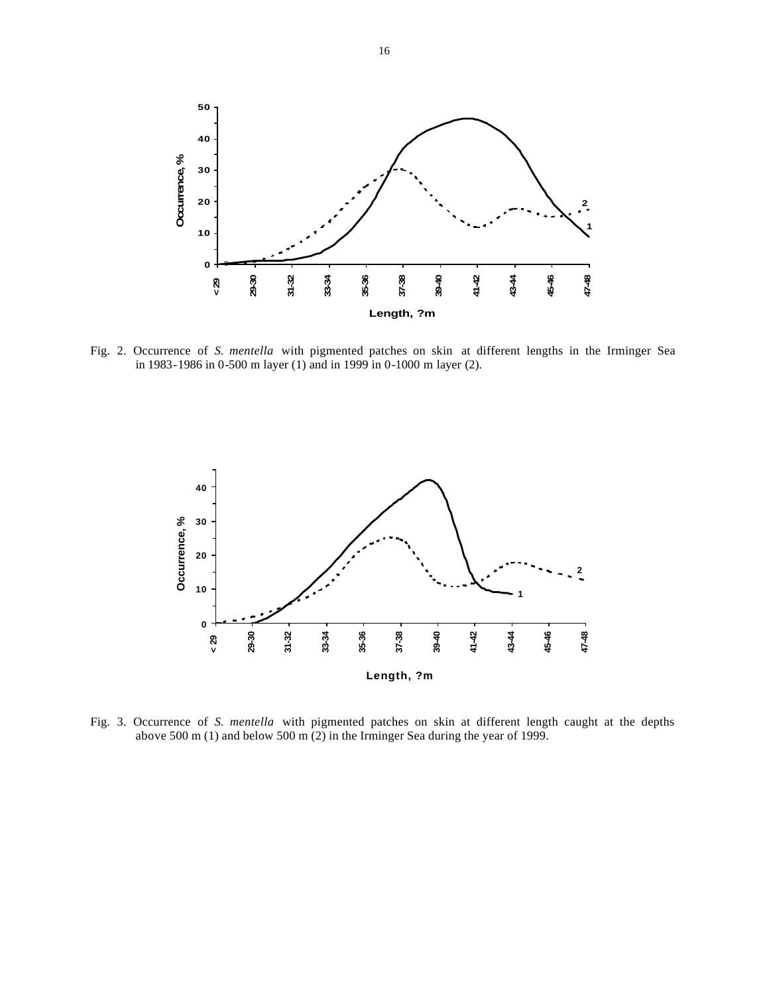

Fig. 2. Occurrence of *S. mentella* with pigmented patches on skin at different lengths in the Irminger Sea in 1983-1986 in 0-500 m layer (1) and in 1999 in 0-1000 m layer (2).



Fig. 3. Occurrence of *S. mentella* with pigmented patches on skin at different length caught at the depths above 500 m (1) and below 500 m (2) in the Irminger Sea during the year of 1999.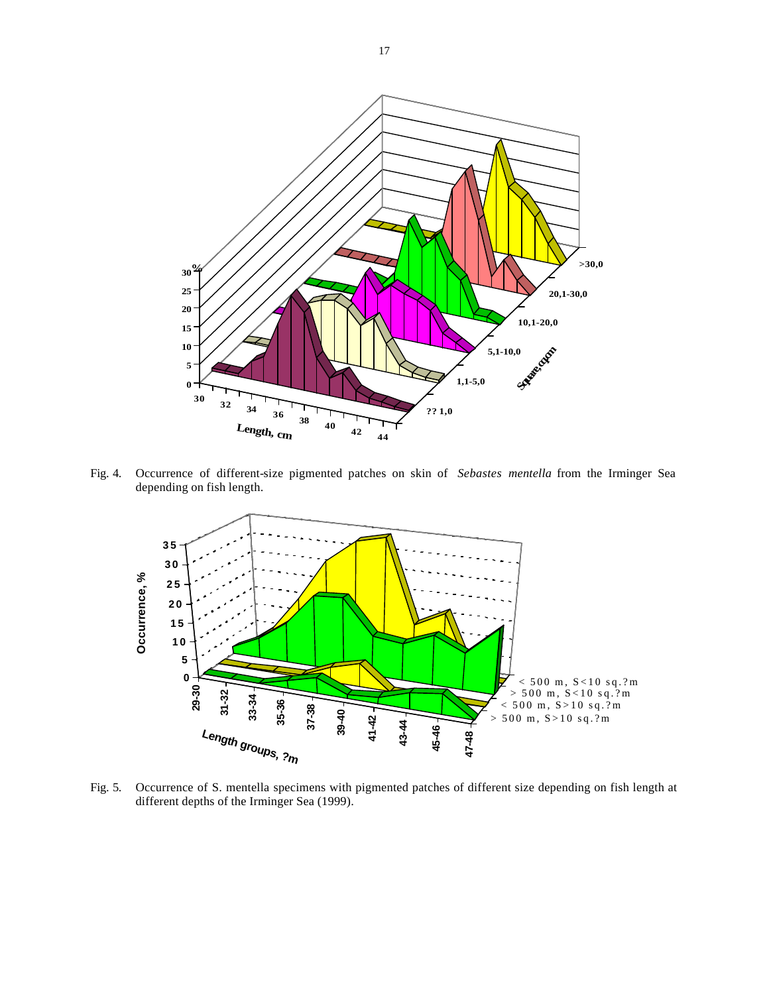

Fig. 4. Occurrence of different-size pigmented patches on skin of *Sebastes mentella* from the Irminger Sea depending on fish length.



Fig. 5. Occurrence of S. mentella specimens with pigmented patches of different size depending on fish length at different depths of the Irminger Sea (1999).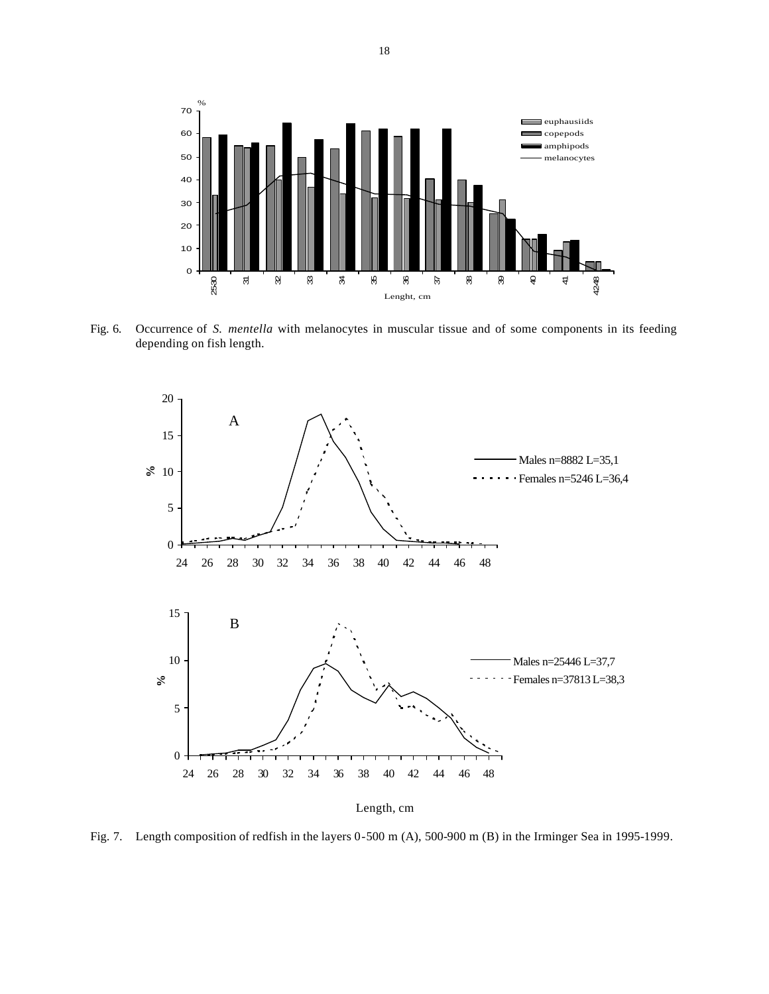

Fig. 6. Occurrence of *S. mentella* with melanocytes in muscular tissue and of some components in its feeding depending on fish length.



Length, cm

Fig. 7. Length composition of redfish in the layers 0-500 m (A), 500-900 m (B) in the Irminger Sea in 1995-1999.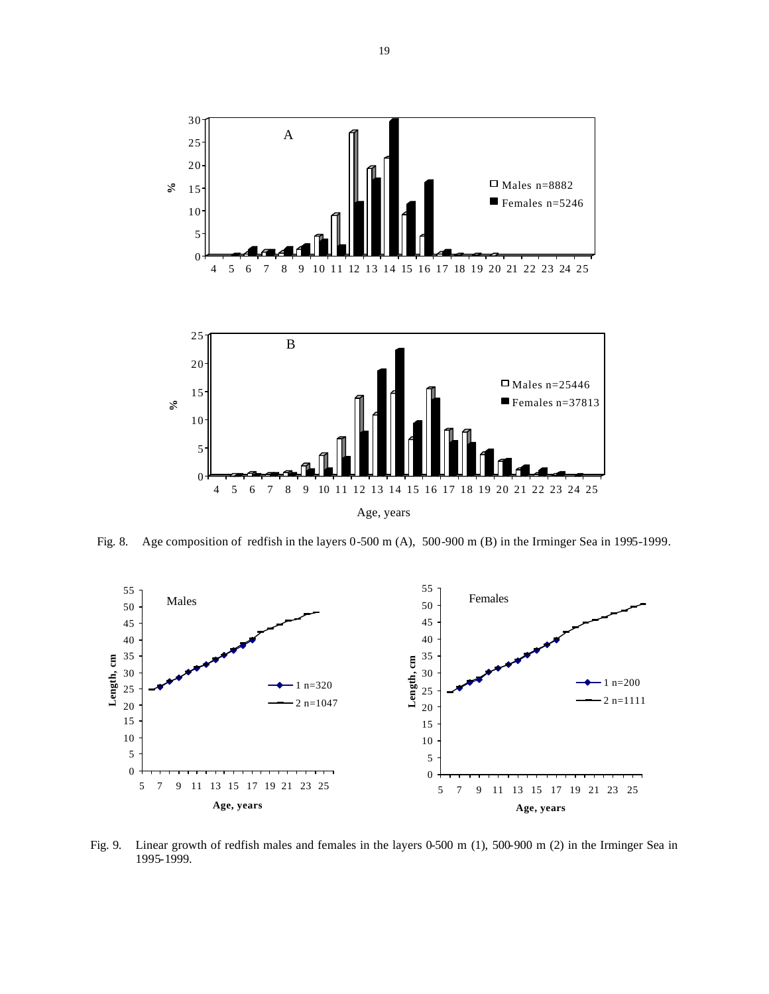

Age, years

Fig. 8. Age composition of redfish in the layers 0-500 m (A), 500-900 m (B) in the Irminger Sea in 1995-1999.



Fig. 9. Linear growth of redfish males and females in the layers 0-500 m (1), 500-900 m (2) in the Irminger Sea in 1995-1999.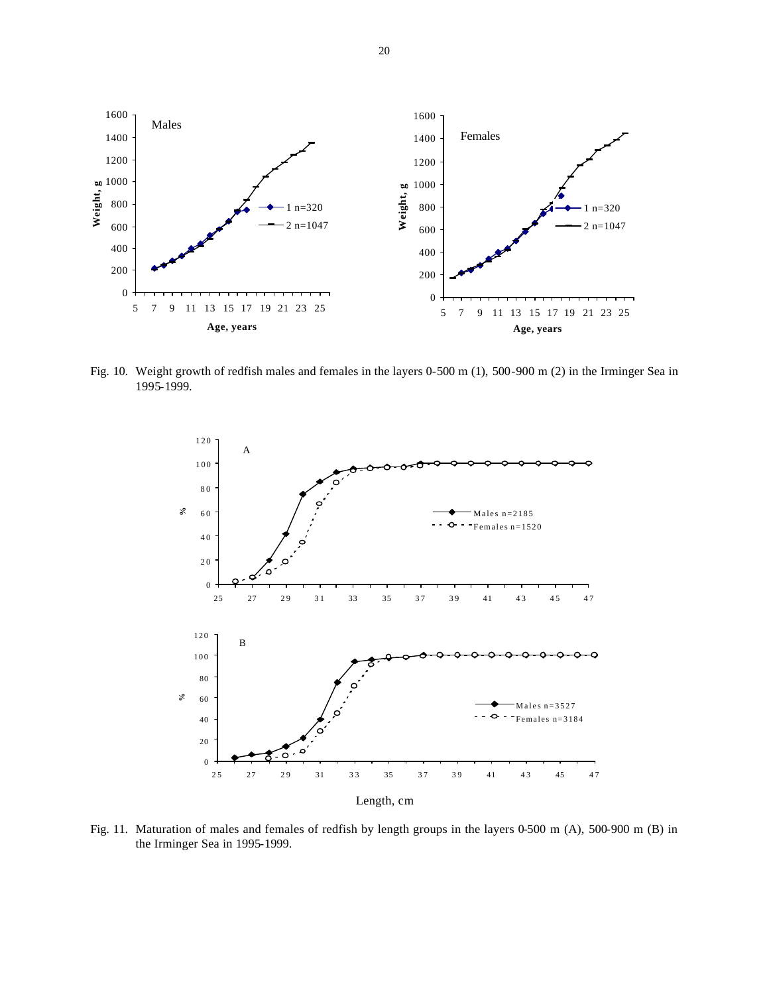

Fig. 10. Weight growth of redfish males and females in the layers 0-500 m (1), 500-900 m (2) in the Irminger Sea in 1995-1999.



Fig. 11. Maturation of males and females of redfish by length groups in the layers 0-500 m (A), 500-900 m (B) in the Irminger Sea in 1995-1999.